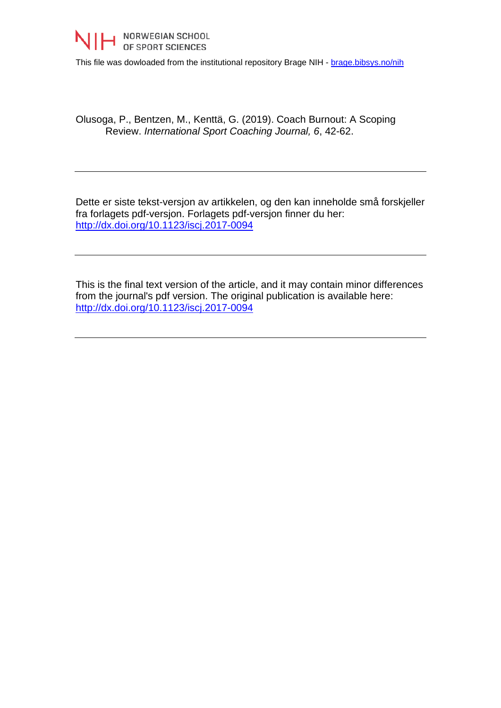

This file was dowloaded from the institutional repository Brage NIH - [brage.bibsys.no/nih](http://brage.bibsys.no/nih)

Olusoga, P., Bentzen, M., Kenttä, G. (2019). Coach Burnout: A Scoping Review. *International Sport Coaching Journal, 6*, 42-62.

Dette er siste tekst-versjon av artikkelen, og den kan inneholde små forskjeller fra forlagets pdf-versjon. Forlagets pdf-versjon finner du her: <http://dx.doi.org/10.1123/iscj.2017-0094>

This is the final text version of the article, and it may contain minor differences from the journal's pdf version. The original publication is available here: <http://dx.doi.org/10.1123/iscj.2017-0094>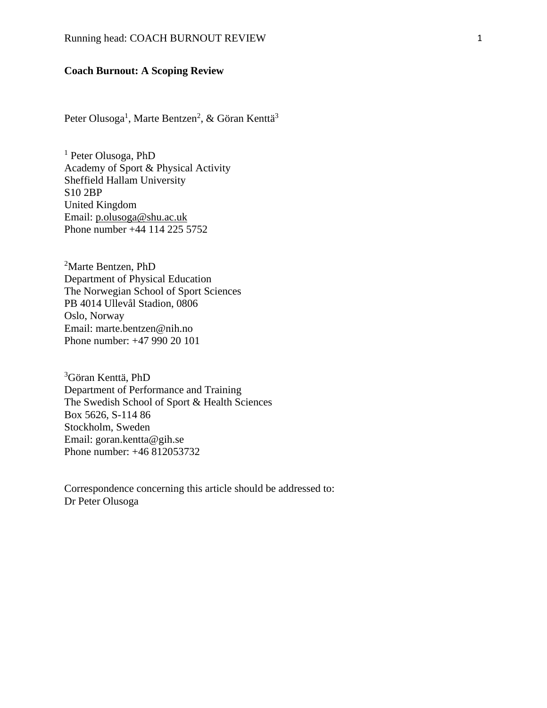## **Coach Burnout: A Scoping Review**

Peter Olusoga<sup>1</sup>, Marte Bentzen<sup>2</sup>, & Göran Kenttä<sup>3</sup>

<sup>1</sup> Peter Olusoga, PhD Academy of Sport & Physical Activity Sheffield Hallam University S10 2BP United Kingdom Email: [p.olusoga@shu.ac.uk](mailto:p.olusoga@shu.ac.uk) Phone number +44 114 225 5752

<sup>2</sup>Marte Bentzen, PhD Department of Physical Education The Norwegian School of Sport Sciences PB 4014 Ullevål Stadion, 0806 Oslo, Norway Email: marte.bentzen@nih.no Phone number: +47 990 20 101

<sup>3</sup>Göran Kenttä, PhD Department of Performance and Training The Swedish School of Sport & Health Sciences Box 5626, S-114 86 Stockholm, Sweden Email: goran.kentta@gih.se Phone number: +46 812053732

Correspondence concerning this article should be addressed to: Dr Peter Olusoga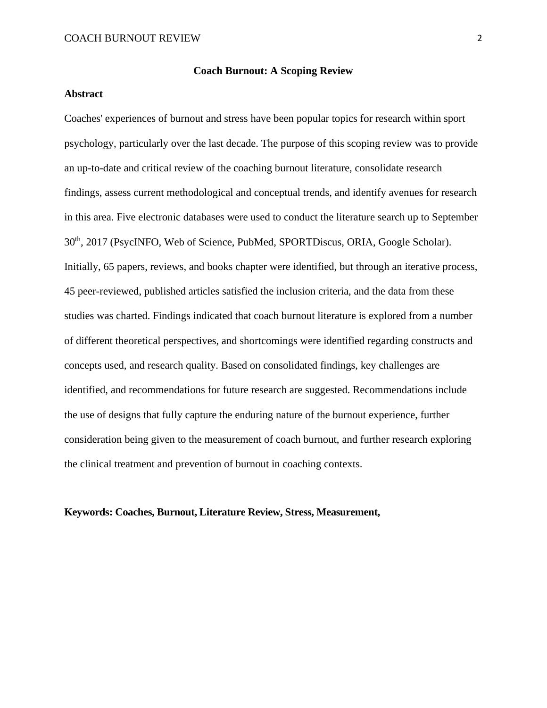#### **Coach Burnout: A Scoping Review**

# **Abstract**

Coaches' experiences of burnout and stress have been popular topics for research within sport psychology, particularly over the last decade. The purpose of this scoping review was to provide an up-to-date and critical review of the coaching burnout literature, consolidate research findings, assess current methodological and conceptual trends, and identify avenues for research in this area. Five electronic databases were used to conduct the literature search up to September 30th, 2017 (PsycINFO, Web of Science, PubMed, SPORTDiscus, ORIA, Google Scholar). Initially, 65 papers, reviews, and books chapter were identified, but through an iterative process, 45 peer-reviewed, published articles satisfied the inclusion criteria, and the data from these studies was charted. Findings indicated that coach burnout literature is explored from a number of different theoretical perspectives, and shortcomings were identified regarding constructs and concepts used, and research quality. Based on consolidated findings, key challenges are identified, and recommendations for future research are suggested. Recommendations include the use of designs that fully capture the enduring nature of the burnout experience, further consideration being given to the measurement of coach burnout, and further research exploring the clinical treatment and prevention of burnout in coaching contexts.

### **Keywords: Coaches, Burnout, Literature Review, Stress, Measurement,**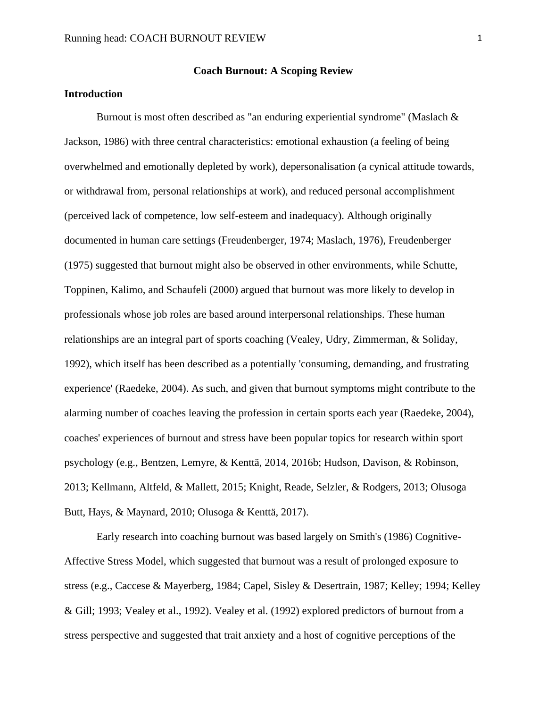### **Introduction**

Burnout is most often described as "an enduring experiential syndrome" (Maslach & Jackson, 1986) with three central characteristics: emotional exhaustion (a feeling of being overwhelmed and emotionally depleted by work), depersonalisation (a cynical attitude towards, or withdrawal from, personal relationships at work), and reduced personal accomplishment (perceived lack of competence, low self-esteem and inadequacy). Although originally documented in human care settings (Freudenberger, 1974; Maslach, 1976), Freudenberger (1975) suggested that burnout might also be observed in other environments, while Schutte, Toppinen, Kalimo, and Schaufeli (2000) argued that burnout was more likely to develop in professionals whose job roles are based around interpersonal relationships. These human relationships are an integral part of sports coaching (Vealey, Udry, Zimmerman, & Soliday, 1992), which itself has been described as a potentially 'consuming, demanding, and frustrating experience' (Raedeke, 2004). As such, and given that burnout symptoms might contribute to the alarming number of coaches leaving the profession in certain sports each year (Raedeke, 2004), coaches' experiences of burnout and stress have been popular topics for research within sport psychology (e.g., Bentzen, Lemyre, & Kenttä, 2014, 2016b; Hudson, Davison, & Robinson, 2013; Kellmann, Altfeld, & Mallett, 2015; Knight, Reade, Selzler, & Rodgers, 2013; Olusoga Butt, Hays, & Maynard, 2010; Olusoga & Kenttä, 2017).

Early research into coaching burnout was based largely on Smith's (1986) Cognitive-Affective Stress Model, which suggested that burnout was a result of prolonged exposure to stress (e.g., Caccese & Mayerberg, 1984; Capel, Sisley & Desertrain, 1987; Kelley; 1994; Kelley & Gill; 1993; Vealey et al., 1992). Vealey et al. (1992) explored predictors of burnout from a stress perspective and suggested that trait anxiety and a host of cognitive perceptions of the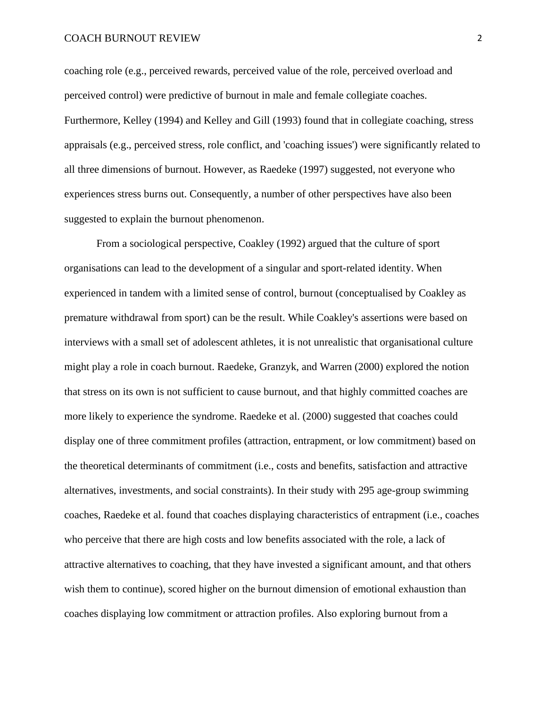coaching role (e.g., perceived rewards, perceived value of the role, perceived overload and perceived control) were predictive of burnout in male and female collegiate coaches. Furthermore, Kelley (1994) and Kelley and Gill (1993) found that in collegiate coaching, stress appraisals (e.g., perceived stress, role conflict, and 'coaching issues') were significantly related to all three dimensions of burnout. However, as Raedeke (1997) suggested, not everyone who experiences stress burns out. Consequently, a number of other perspectives have also been suggested to explain the burnout phenomenon.

From a sociological perspective, Coakley (1992) argued that the culture of sport organisations can lead to the development of a singular and sport-related identity. When experienced in tandem with a limited sense of control, burnout (conceptualised by Coakley as premature withdrawal from sport) can be the result. While Coakley's assertions were based on interviews with a small set of adolescent athletes, it is not unrealistic that organisational culture might play a role in coach burnout. Raedeke, Granzyk, and Warren (2000) explored the notion that stress on its own is not sufficient to cause burnout, and that highly committed coaches are more likely to experience the syndrome. Raedeke et al. (2000) suggested that coaches could display one of three commitment profiles (attraction, entrapment, or low commitment) based on the theoretical determinants of commitment (i.e., costs and benefits, satisfaction and attractive alternatives, investments, and social constraints). In their study with 295 age-group swimming coaches, Raedeke et al. found that coaches displaying characteristics of entrapment (i.e., coaches who perceive that there are high costs and low benefits associated with the role, a lack of attractive alternatives to coaching, that they have invested a significant amount, and that others wish them to continue), scored higher on the burnout dimension of emotional exhaustion than coaches displaying low commitment or attraction profiles. Also exploring burnout from a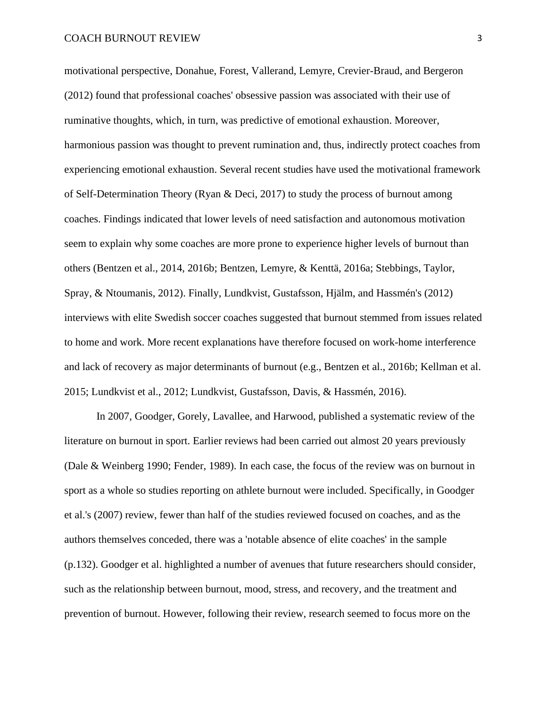motivational perspective, Donahue, Forest, Vallerand, Lemyre, Crevier-Braud, and Bergeron (2012) found that professional coaches' obsessive passion was associated with their use of ruminative thoughts, which, in turn, was predictive of emotional exhaustion. Moreover, harmonious passion was thought to prevent rumination and, thus, indirectly protect coaches from experiencing emotional exhaustion. Several recent studies have used the motivational framework of Self-Determination Theory (Ryan & Deci, 2017) to study the process of burnout among coaches. Findings indicated that lower levels of need satisfaction and autonomous motivation seem to explain why some coaches are more prone to experience higher levels of burnout than others (Bentzen et al., 2014, 2016b; Bentzen, Lemyre, & Kenttä, 2016a; Stebbings, Taylor, Spray, & Ntoumanis, 2012). Finally, Lundkvist, Gustafsson, Hjälm, and Hassmén's (2012) interviews with elite Swedish soccer coaches suggested that burnout stemmed from issues related to home and work. More recent explanations have therefore focused on work-home interference and lack of recovery as major determinants of burnout (e.g., Bentzen et al., 2016b; Kellman et al. 2015; Lundkvist et al., 2012; Lundkvist, Gustafsson, Davis, & Hassmén, 2016).

In 2007, Goodger, Gorely, Lavallee, and Harwood, published a systematic review of the literature on burnout in sport. Earlier reviews had been carried out almost 20 years previously (Dale & Weinberg 1990; Fender, 1989). In each case, the focus of the review was on burnout in sport as a whole so studies reporting on athlete burnout were included. Specifically, in Goodger et al.'s (2007) review, fewer than half of the studies reviewed focused on coaches, and as the authors themselves conceded, there was a 'notable absence of elite coaches' in the sample (p.132). Goodger et al. highlighted a number of avenues that future researchers should consider, such as the relationship between burnout, mood, stress, and recovery, and the treatment and prevention of burnout. However, following their review, research seemed to focus more on the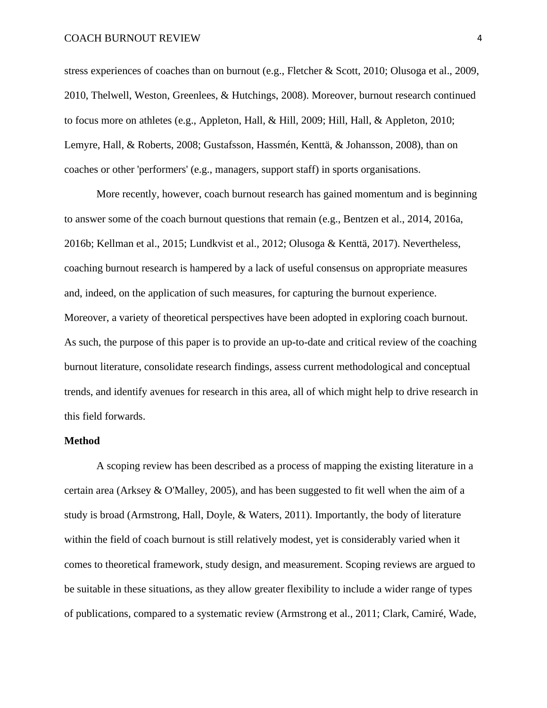stress experiences of coaches than on burnout (e.g., Fletcher & Scott, 2010; Olusoga et al., 2009, 2010, Thelwell, Weston, Greenlees, & Hutchings, 2008). Moreover, burnout research continued to focus more on athletes (e.g., Appleton, Hall, & Hill, 2009; Hill, Hall, & Appleton, 2010; Lemyre, Hall, & Roberts, 2008; Gustafsson, Hassmén, Kenttä, & Johansson, 2008), than on coaches or other 'performers' (e.g., managers, support staff) in sports organisations.

More recently, however, coach burnout research has gained momentum and is beginning to answer some of the coach burnout questions that remain (e.g., Bentzen et al., 2014, 2016a, 2016b; Kellman et al., 2015; Lundkvist et al., 2012; Olusoga & Kenttä, 2017). Nevertheless, coaching burnout research is hampered by a lack of useful consensus on appropriate measures and, indeed, on the application of such measures, for capturing the burnout experience. Moreover, a variety of theoretical perspectives have been adopted in exploring coach burnout. As such, the purpose of this paper is to provide an up-to-date and critical review of the coaching burnout literature, consolidate research findings, assess current methodological and conceptual trends, and identify avenues for research in this area, all of which might help to drive research in this field forwards.

#### **Method**

A scoping review has been described as a process of mapping the existing literature in a certain area (Arksey & O'Malley, 2005), and has been suggested to fit well when the aim of a study is broad (Armstrong, Hall, Doyle, & Waters, 2011). Importantly, the body of literature within the field of coach burnout is still relatively modest, yet is considerably varied when it comes to theoretical framework, study design, and measurement. Scoping reviews are argued to be suitable in these situations, as they allow greater flexibility to include a wider range of types of publications, compared to a systematic review (Armstrong et al., 2011; Clark, Camiré, Wade,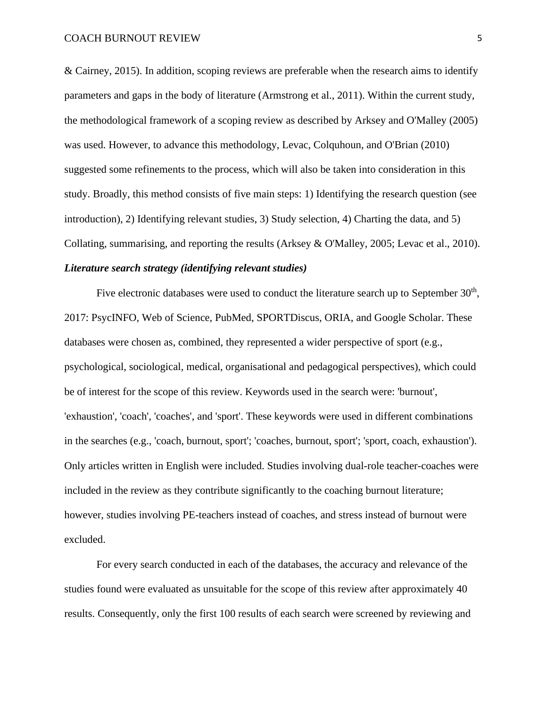& Cairney, 2015). In addition, scoping reviews are preferable when the research aims to identify parameters and gaps in the body of literature (Armstrong et al., 2011). Within the current study, the methodological framework of a scoping review as described by Arksey and O'Malley (2005) was used. However, to advance this methodology, Levac, Colquhoun, and O'Brian (2010) suggested some refinements to the process, which will also be taken into consideration in this study. Broadly, this method consists of five main steps: 1) Identifying the research question (see introduction), 2) Identifying relevant studies, 3) Study selection, 4) Charting the data, and 5) Collating, summarising, and reporting the results (Arksey & O'Malley, 2005; Levac et al., 2010). *Literature search strategy (identifying relevant studies)*

Five electronic databases were used to conduct the literature search up to September  $30<sup>th</sup>$ , 2017: PsycINFO, Web of Science, PubMed, SPORTDiscus, ORIA, and Google Scholar. These databases were chosen as, combined, they represented a wider perspective of sport (e.g., psychological, sociological, medical, organisational and pedagogical perspectives), which could be of interest for the scope of this review. Keywords used in the search were: 'burnout', 'exhaustion', 'coach', 'coaches', and 'sport'. These keywords were used in different combinations in the searches (e.g., 'coach, burnout, sport'; 'coaches, burnout, sport'; 'sport, coach, exhaustion'). Only articles written in English were included. Studies involving dual-role teacher-coaches were included in the review as they contribute significantly to the coaching burnout literature; however, studies involving PE-teachers instead of coaches, and stress instead of burnout were excluded.

For every search conducted in each of the databases, the accuracy and relevance of the studies found were evaluated as unsuitable for the scope of this review after approximately 40 results. Consequently, only the first 100 results of each search were screened by reviewing and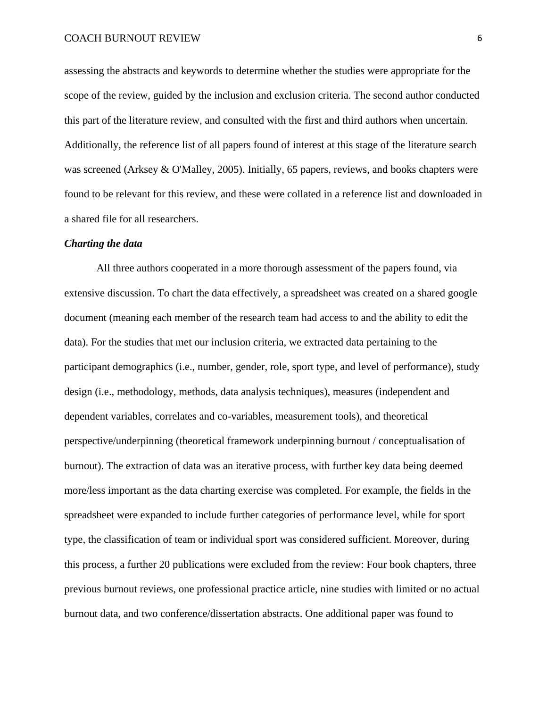assessing the abstracts and keywords to determine whether the studies were appropriate for the scope of the review, guided by the inclusion and exclusion criteria. The second author conducted this part of the literature review, and consulted with the first and third authors when uncertain. Additionally, the reference list of all papers found of interest at this stage of the literature search was screened (Arksey & O'Malley, 2005). Initially, 65 papers, reviews, and books chapters were found to be relevant for this review, and these were collated in a reference list and downloaded in a shared file for all researchers.

#### *Charting the data*

All three authors cooperated in a more thorough assessment of the papers found, via extensive discussion. To chart the data effectively, a spreadsheet was created on a shared google document (meaning each member of the research team had access to and the ability to edit the data). For the studies that met our inclusion criteria, we extracted data pertaining to the participant demographics (i.e., number, gender, role, sport type, and level of performance), study design (i.e., methodology, methods, data analysis techniques), measures (independent and dependent variables, correlates and co-variables, measurement tools), and theoretical perspective/underpinning (theoretical framework underpinning burnout / conceptualisation of burnout). The extraction of data was an iterative process, with further key data being deemed more/less important as the data charting exercise was completed. For example, the fields in the spreadsheet were expanded to include further categories of performance level, while for sport type, the classification of team or individual sport was considered sufficient. Moreover, during this process, a further 20 publications were excluded from the review: Four book chapters, three previous burnout reviews, one professional practice article, nine studies with limited or no actual burnout data, and two conference/dissertation abstracts. One additional paper was found to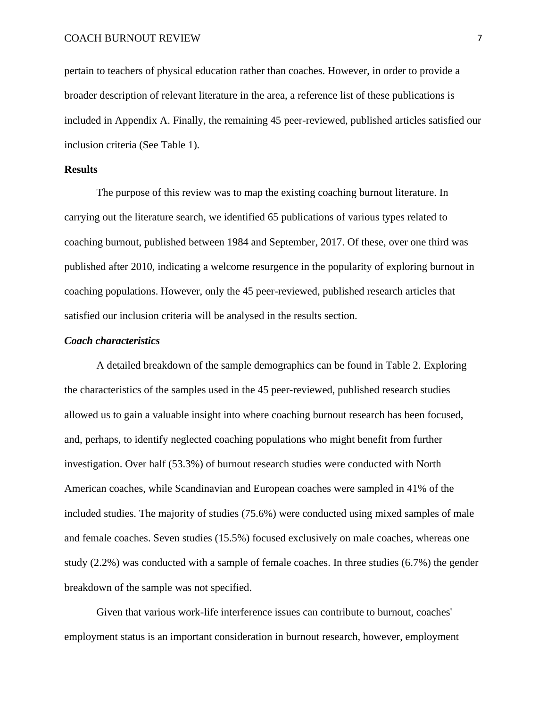pertain to teachers of physical education rather than coaches. However, in order to provide a broader description of relevant literature in the area, a reference list of these publications is included in Appendix A. Finally, the remaining 45 peer-reviewed, published articles satisfied our inclusion criteria (See Table 1).

#### **Results**

The purpose of this review was to map the existing coaching burnout literature. In carrying out the literature search, we identified 65 publications of various types related to coaching burnout, published between 1984 and September, 2017. Of these, over one third was published after 2010, indicating a welcome resurgence in the popularity of exploring burnout in coaching populations. However, only the 45 peer-reviewed, published research articles that satisfied our inclusion criteria will be analysed in the results section.

#### *Coach characteristics*

A detailed breakdown of the sample demographics can be found in Table 2. Exploring the characteristics of the samples used in the 45 peer-reviewed, published research studies allowed us to gain a valuable insight into where coaching burnout research has been focused, and, perhaps, to identify neglected coaching populations who might benefit from further investigation. Over half (53.3%) of burnout research studies were conducted with North American coaches, while Scandinavian and European coaches were sampled in 41% of the included studies. The majority of studies (75.6%) were conducted using mixed samples of male and female coaches. Seven studies (15.5%) focused exclusively on male coaches, whereas one study (2.2%) was conducted with a sample of female coaches. In three studies (6.7%) the gender breakdown of the sample was not specified.

Given that various work-life interference issues can contribute to burnout, coaches' employment status is an important consideration in burnout research, however, employment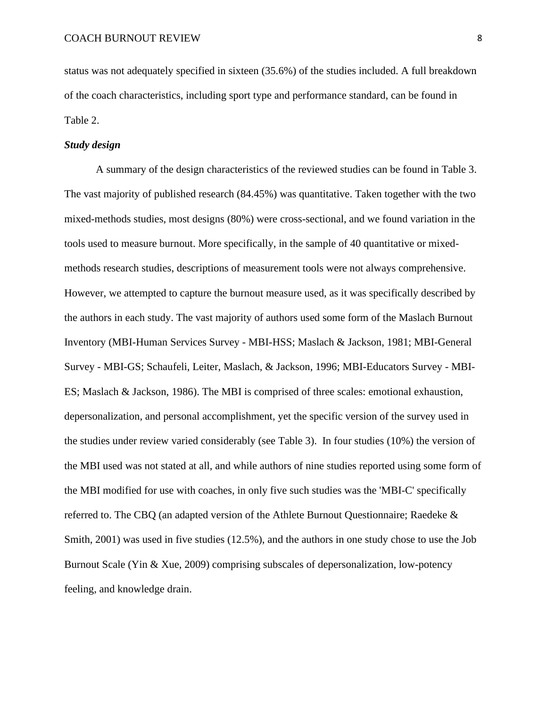status was not adequately specified in sixteen (35.6%) of the studies included. A full breakdown of the coach characteristics, including sport type and performance standard, can be found in Table 2.

#### *Study design*

A summary of the design characteristics of the reviewed studies can be found in Table 3. The vast majority of published research (84.45%) was quantitative. Taken together with the two mixed-methods studies, most designs (80%) were cross-sectional, and we found variation in the tools used to measure burnout. More specifically, in the sample of 40 quantitative or mixedmethods research studies, descriptions of measurement tools were not always comprehensive. However, we attempted to capture the burnout measure used, as it was specifically described by the authors in each study. The vast majority of authors used some form of the Maslach Burnout Inventory (MBI-Human Services Survey - MBI-HSS; Maslach & Jackson, 1981; MBI-General Survey - MBI-GS; Schaufeli, Leiter, Maslach, & Jackson, 1996; MBI-Educators Survey - MBI-ES; Maslach & Jackson, 1986). The MBI is comprised of three scales: emotional exhaustion, depersonalization, and personal accomplishment, yet the specific version of the survey used in the studies under review varied considerably (see Table 3). In four studies (10%) the version of the MBI used was not stated at all, and while authors of nine studies reported using some form of the MBI modified for use with coaches, in only five such studies was the 'MBI-C' specifically referred to. The CBQ (an adapted version of the Athlete Burnout Questionnaire; Raedeke & Smith, 2001) was used in five studies (12.5%), and the authors in one study chose to use the Job Burnout Scale (Yin & Xue, 2009) comprising subscales of depersonalization, low-potency feeling, and knowledge drain.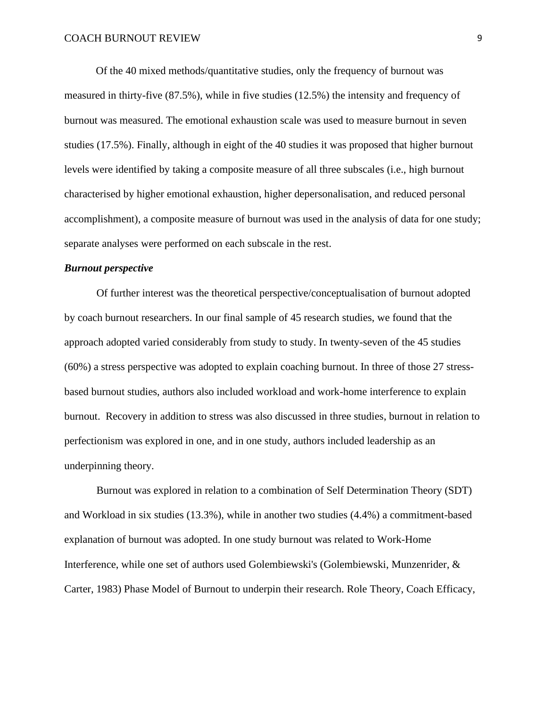Of the 40 mixed methods/quantitative studies, only the frequency of burnout was measured in thirty-five (87.5%), while in five studies (12.5%) the intensity and frequency of burnout was measured. The emotional exhaustion scale was used to measure burnout in seven studies (17.5%). Finally, although in eight of the 40 studies it was proposed that higher burnout levels were identified by taking a composite measure of all three subscales (i.e., high burnout characterised by higher emotional exhaustion, higher depersonalisation, and reduced personal accomplishment), a composite measure of burnout was used in the analysis of data for one study; separate analyses were performed on each subscale in the rest.

#### *Burnout perspective*

Of further interest was the theoretical perspective/conceptualisation of burnout adopted by coach burnout researchers. In our final sample of 45 research studies, we found that the approach adopted varied considerably from study to study. In twenty-seven of the 45 studies (60%) a stress perspective was adopted to explain coaching burnout. In three of those 27 stressbased burnout studies, authors also included workload and work-home interference to explain burnout. Recovery in addition to stress was also discussed in three studies, burnout in relation to perfectionism was explored in one, and in one study, authors included leadership as an underpinning theory.

Burnout was explored in relation to a combination of Self Determination Theory (SDT) and Workload in six studies (13.3%), while in another two studies (4.4%) a commitment-based explanation of burnout was adopted. In one study burnout was related to Work-Home Interference, while one set of authors used Golembiewski's (Golembiewski, Munzenrider, & Carter, 1983) Phase Model of Burnout to underpin their research. Role Theory, Coach Efficacy,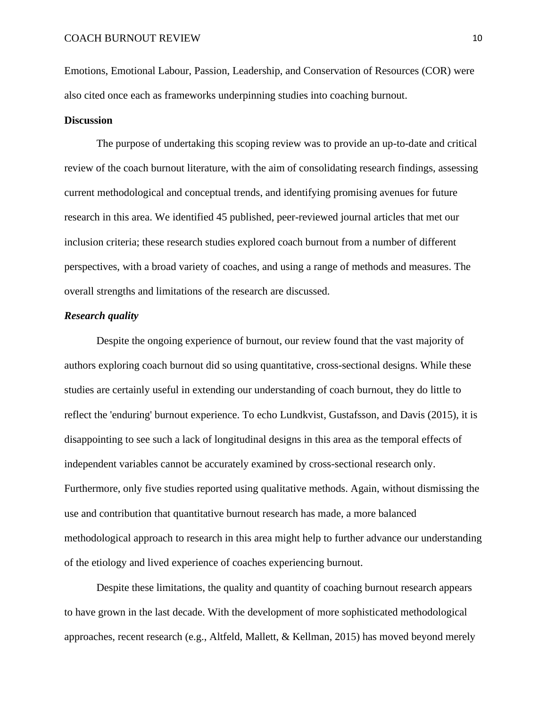Emotions, Emotional Labour, Passion, Leadership, and Conservation of Resources (COR) were also cited once each as frameworks underpinning studies into coaching burnout.

#### **Discussion**

The purpose of undertaking this scoping review was to provide an up-to-date and critical review of the coach burnout literature, with the aim of consolidating research findings, assessing current methodological and conceptual trends, and identifying promising avenues for future research in this area. We identified 45 published, peer-reviewed journal articles that met our inclusion criteria; these research studies explored coach burnout from a number of different perspectives, with a broad variety of coaches, and using a range of methods and measures. The overall strengths and limitations of the research are discussed.

### *Research quality*

Despite the ongoing experience of burnout, our review found that the vast majority of authors exploring coach burnout did so using quantitative, cross-sectional designs. While these studies are certainly useful in extending our understanding of coach burnout, they do little to reflect the 'enduring' burnout experience. To echo Lundkvist, Gustafsson, and Davis (2015), it is disappointing to see such a lack of longitudinal designs in this area as the temporal effects of independent variables cannot be accurately examined by cross-sectional research only. Furthermore, only five studies reported using qualitative methods. Again, without dismissing the use and contribution that quantitative burnout research has made, a more balanced methodological approach to research in this area might help to further advance our understanding of the etiology and lived experience of coaches experiencing burnout.

Despite these limitations, the quality and quantity of coaching burnout research appears to have grown in the last decade. With the development of more sophisticated methodological approaches, recent research (e.g., Altfeld, Mallett, & Kellman, 2015) has moved beyond merely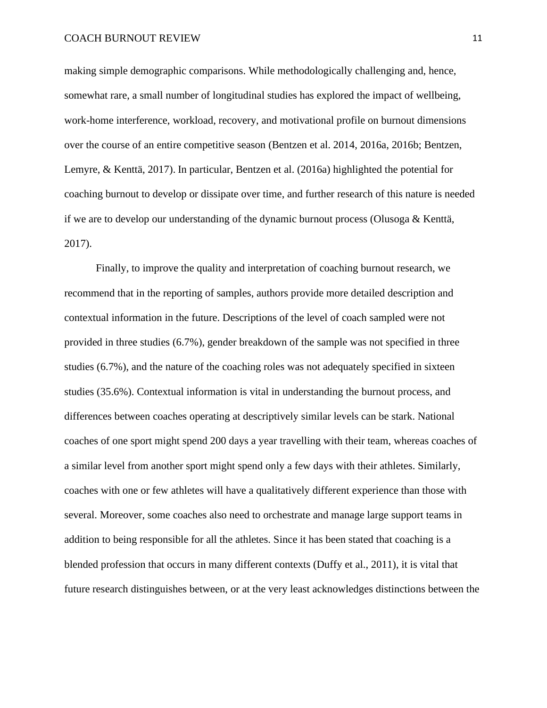making simple demographic comparisons. While methodologically challenging and, hence, somewhat rare, a small number of longitudinal studies has explored the impact of wellbeing, work-home interference, workload, recovery, and motivational profile on burnout dimensions over the course of an entire competitive season (Bentzen et al. 2014, 2016a, 2016b; Bentzen, Lemyre, & Kenttä, 2017). In particular, Bentzen et al. (2016a) highlighted the potential for coaching burnout to develop or dissipate over time, and further research of this nature is needed if we are to develop our understanding of the dynamic burnout process (Olusoga & Kenttä, 2017).

Finally, to improve the quality and interpretation of coaching burnout research, we recommend that in the reporting of samples, authors provide more detailed description and contextual information in the future. Descriptions of the level of coach sampled were not provided in three studies (6.7%), gender breakdown of the sample was not specified in three studies (6.7%), and the nature of the coaching roles was not adequately specified in sixteen studies (35.6%). Contextual information is vital in understanding the burnout process, and differences between coaches operating at descriptively similar levels can be stark. National coaches of one sport might spend 200 days a year travelling with their team, whereas coaches of a similar level from another sport might spend only a few days with their athletes. Similarly, coaches with one or few athletes will have a qualitatively different experience than those with several. Moreover, some coaches also need to orchestrate and manage large support teams in addition to being responsible for all the athletes. Since it has been stated that coaching is a blended profession that occurs in many different contexts (Duffy et al., 2011), it is vital that future research distinguishes between, or at the very least acknowledges distinctions between the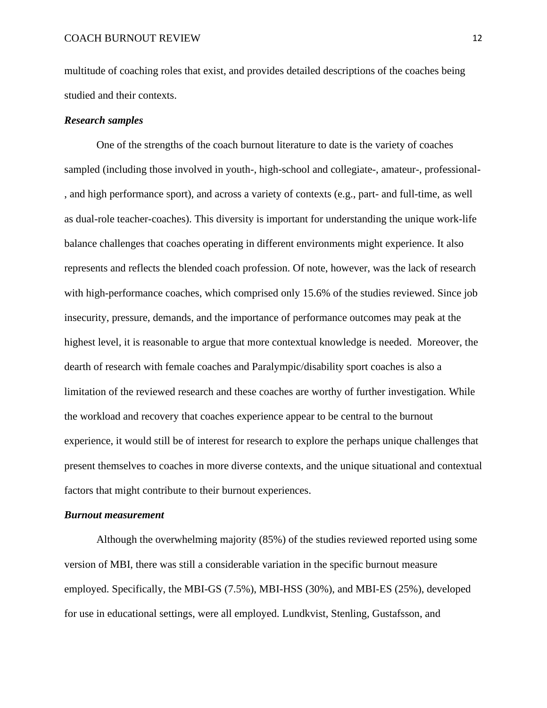multitude of coaching roles that exist, and provides detailed descriptions of the coaches being studied and their contexts.

#### *Research samples*

One of the strengths of the coach burnout literature to date is the variety of coaches sampled (including those involved in youth-, high-school and collegiate-, amateur-, professional- , and high performance sport), and across a variety of contexts (e.g., part- and full-time, as well as dual-role teacher-coaches). This diversity is important for understanding the unique work-life balance challenges that coaches operating in different environments might experience. It also represents and reflects the blended coach profession. Of note, however, was the lack of research with high-performance coaches, which comprised only 15.6% of the studies reviewed. Since job insecurity, pressure, demands, and the importance of performance outcomes may peak at the highest level, it is reasonable to argue that more contextual knowledge is needed. Moreover, the dearth of research with female coaches and Paralympic/disability sport coaches is also a limitation of the reviewed research and these coaches are worthy of further investigation. While the workload and recovery that coaches experience appear to be central to the burnout experience, it would still be of interest for research to explore the perhaps unique challenges that present themselves to coaches in more diverse contexts, and the unique situational and contextual factors that might contribute to their burnout experiences.

#### *Burnout measurement*

Although the overwhelming majority (85%) of the studies reviewed reported using some version of MBI, there was still a considerable variation in the specific burnout measure employed. Specifically, the MBI-GS (7.5%), MBI-HSS (30%), and MBI-ES (25%), developed for use in educational settings, were all employed. Lundkvist, Stenling, Gustafsson, and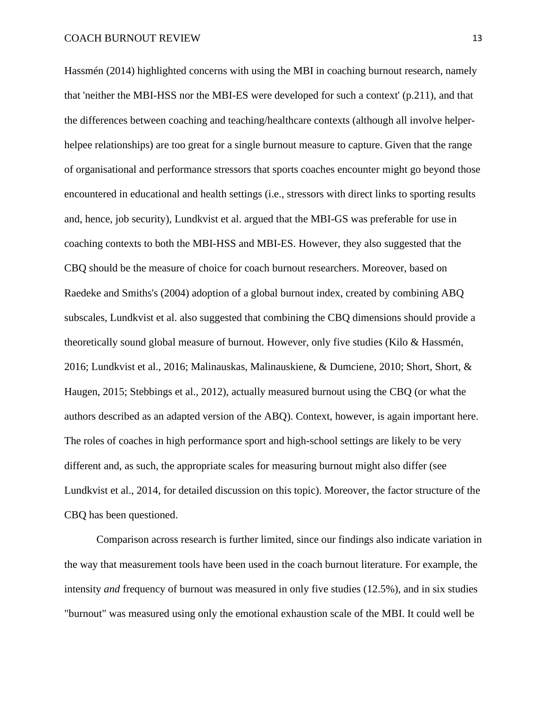Hassmén (2014) highlighted concerns with using the MBI in coaching burnout research, namely that 'neither the MBI-HSS nor the MBI-ES were developed for such a context' (p.211), and that the differences between coaching and teaching/healthcare contexts (although all involve helperhelpee relationships) are too great for a single burnout measure to capture. Given that the range of organisational and performance stressors that sports coaches encounter might go beyond those encountered in educational and health settings (i.e., stressors with direct links to sporting results and, hence, job security), Lundkvist et al. argued that the MBI-GS was preferable for use in coaching contexts to both the MBI-HSS and MBI-ES. However, they also suggested that the CBQ should be the measure of choice for coach burnout researchers. Moreover, based on Raedeke and Smiths's (2004) adoption of a global burnout index, created by combining ABQ subscales, Lundkvist et al. also suggested that combining the CBQ dimensions should provide a theoretically sound global measure of burnout. However, only five studies (Kilo & Hassmén, 2016; Lundkvist et al., 2016; Malinauskas, Malinauskiene, & Dumciene, 2010; Short, Short, & Haugen, 2015; Stebbings et al., 2012), actually measured burnout using the CBQ (or what the authors described as an adapted version of the ABQ). Context, however, is again important here. The roles of coaches in high performance sport and high-school settings are likely to be very different and, as such, the appropriate scales for measuring burnout might also differ (see Lundkvist et al., 2014, for detailed discussion on this topic). Moreover, the factor structure of the CBQ has been questioned.

Comparison across research is further limited, since our findings also indicate variation in the way that measurement tools have been used in the coach burnout literature. For example, the intensity *and* frequency of burnout was measured in only five studies (12.5%), and in six studies "burnout" was measured using only the emotional exhaustion scale of the MBI. It could well be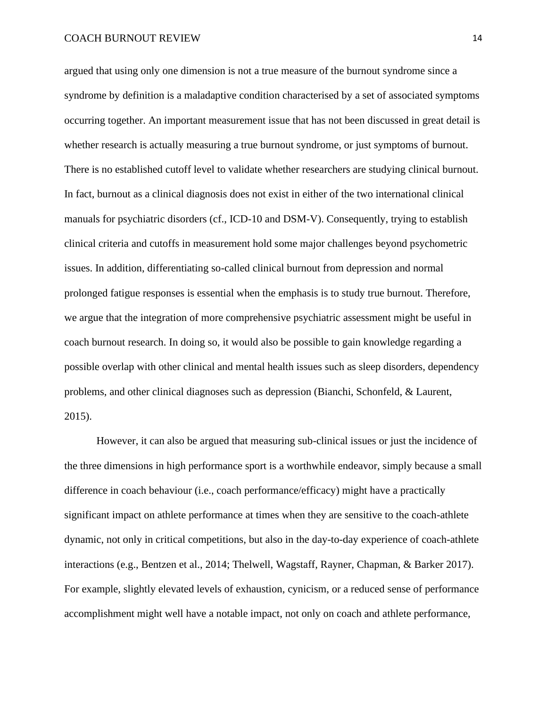argued that using only one dimension is not a true measure of the burnout syndrome since a syndrome by definition is a maladaptive condition characterised by a set of associated symptoms occurring together. An important measurement issue that has not been discussed in great detail is whether research is actually measuring a true burnout syndrome, or just symptoms of burnout. There is no established cutoff level to validate whether researchers are studying clinical burnout. In fact, burnout as a clinical diagnosis does not exist in either of the two international clinical manuals for psychiatric disorders (cf., ICD-10 and DSM-V). Consequently, trying to establish clinical criteria and cutoffs in measurement hold some major challenges beyond psychometric issues. In addition, differentiating so-called clinical burnout from depression and normal prolonged fatigue responses is essential when the emphasis is to study true burnout. Therefore, we argue that the integration of more comprehensive psychiatric assessment might be useful in coach burnout research. In doing so, it would also be possible to gain knowledge regarding a possible overlap with other clinical and mental health issues such as sleep disorders, dependency problems, and other clinical diagnoses such as depression (Bianchi, Schonfeld, & Laurent, 2015).

However, it can also be argued that measuring sub-clinical issues or just the incidence of the three dimensions in high performance sport is a worthwhile endeavor, simply because a small difference in coach behaviour (i.e., coach performance/efficacy) might have a practically significant impact on athlete performance at times when they are sensitive to the coach-athlete dynamic, not only in critical competitions, but also in the day-to-day experience of coach-athlete interactions (e.g., Bentzen et al., 2014; Thelwell, Wagstaff, Rayner, Chapman, & Barker 2017). For example, slightly elevated levels of exhaustion, cynicism, or a reduced sense of performance accomplishment might well have a notable impact, not only on coach and athlete performance,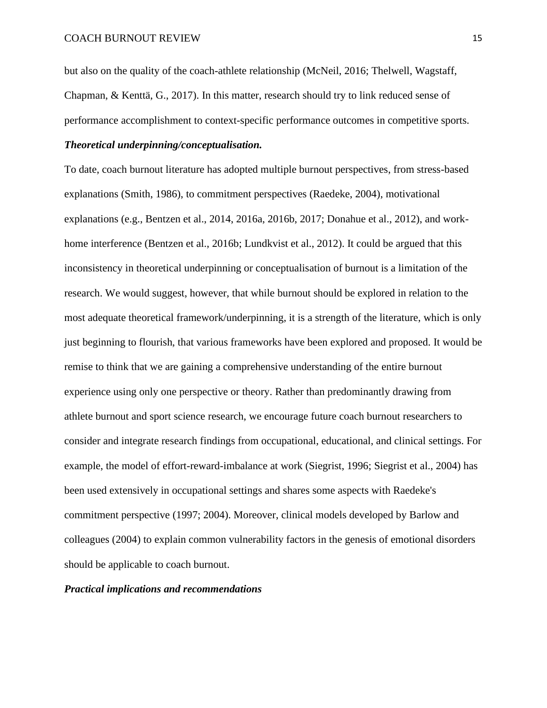but also on the quality of the coach-athlete relationship (McNeil, 2016; Thelwell, Wagstaff, Chapman, & Kenttä, G., 2017). In this matter, research should try to link reduced sense of performance accomplishment to context-specific performance outcomes in competitive sports.

# *Theoretical underpinning/conceptualisation.*

To date, coach burnout literature has adopted multiple burnout perspectives, from stress-based explanations (Smith, 1986), to commitment perspectives (Raedeke, 2004), motivational explanations (e.g., Bentzen et al., 2014, 2016a, 2016b, 2017; Donahue et al., 2012), and workhome interference (Bentzen et al., 2016b; Lundkvist et al., 2012). It could be argued that this inconsistency in theoretical underpinning or conceptualisation of burnout is a limitation of the research. We would suggest, however, that while burnout should be explored in relation to the most adequate theoretical framework/underpinning, it is a strength of the literature, which is only just beginning to flourish, that various frameworks have been explored and proposed. It would be remise to think that we are gaining a comprehensive understanding of the entire burnout experience using only one perspective or theory. Rather than predominantly drawing from athlete burnout and sport science research, we encourage future coach burnout researchers to consider and integrate research findings from occupational, educational, and clinical settings. For example, the model of effort-reward-imbalance at work (Siegrist, 1996; Siegrist et al., 2004) has been used extensively in occupational settings and shares some aspects with Raedeke's commitment perspective (1997; 2004). Moreover, clinical models developed by Barlow and colleagues (2004) to explain common vulnerability factors in the genesis of emotional disorders should be applicable to coach burnout.

#### *Practical implications and recommendations*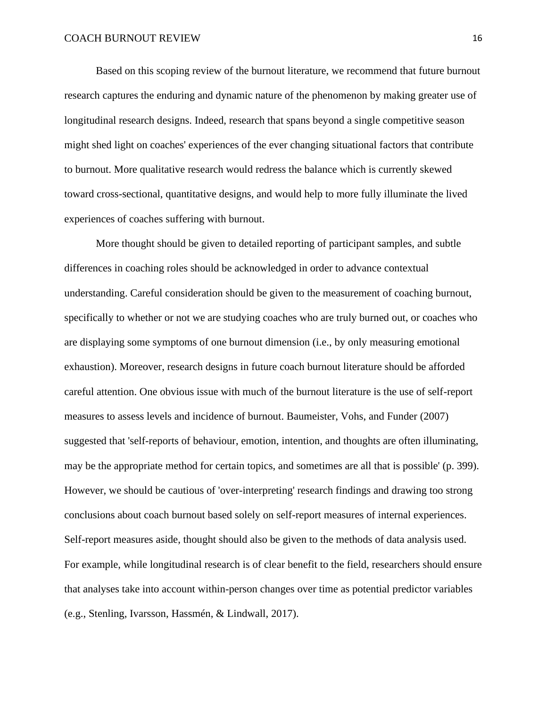Based on this scoping review of the burnout literature, we recommend that future burnout research captures the enduring and dynamic nature of the phenomenon by making greater use of longitudinal research designs. Indeed, research that spans beyond a single competitive season might shed light on coaches' experiences of the ever changing situational factors that contribute to burnout. More qualitative research would redress the balance which is currently skewed toward cross-sectional, quantitative designs, and would help to more fully illuminate the lived experiences of coaches suffering with burnout.

More thought should be given to detailed reporting of participant samples, and subtle differences in coaching roles should be acknowledged in order to advance contextual understanding. Careful consideration should be given to the measurement of coaching burnout, specifically to whether or not we are studying coaches who are truly burned out, or coaches who are displaying some symptoms of one burnout dimension (i.e., by only measuring emotional exhaustion). Moreover, research designs in future coach burnout literature should be afforded careful attention. One obvious issue with much of the burnout literature is the use of self-report measures to assess levels and incidence of burnout. Baumeister, Vohs, and Funder (2007) suggested that 'self-reports of behaviour, emotion, intention, and thoughts are often illuminating, may be the appropriate method for certain topics, and sometimes are all that is possible' (p. 399). However, we should be cautious of 'over-interpreting' research findings and drawing too strong conclusions about coach burnout based solely on self-report measures of internal experiences. Self-report measures aside, thought should also be given to the methods of data analysis used. For example, while longitudinal research is of clear benefit to the field, researchers should ensure that analyses take into account within-person changes over time as potential predictor variables (e.g., Stenling, Ivarsson, Hassmén, & Lindwall, 2017).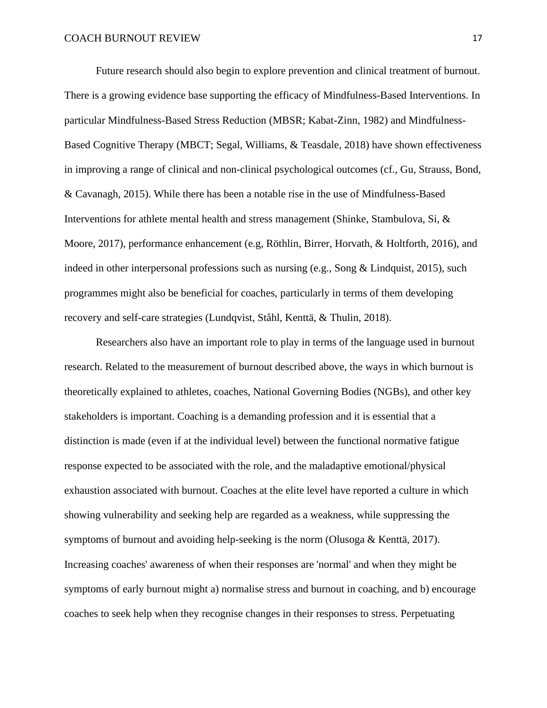Future research should also begin to explore prevention and clinical treatment of burnout. There is a growing evidence base supporting the efficacy of Mindfulness-Based Interventions. In particular Mindfulness-Based Stress Reduction (MBSR; Kabat-Zinn, 1982) and Mindfulness-Based Cognitive Therapy (MBCT; Segal, Williams, & Teasdale, 2018) have shown effectiveness in improving a range of clinical and non-clinical psychological outcomes (cf., Gu, Strauss, Bond, & Cavanagh, 2015). While there has been a notable rise in the use of Mindfulness-Based Interventions for athlete mental health and stress management (Shinke, Stambulova, Si, & Moore, 2017), performance enhancement (e.g, Röthlin, Birrer, Horvath, & Holtforth, 2016), and indeed in other interpersonal professions such as nursing (e.g., Song & Lindquist, 2015), such programmes might also be beneficial for coaches, particularly in terms of them developing recovery and self-care strategies (Lundqvist, Ståhl, Kenttä, & Thulin, 2018).

Researchers also have an important role to play in terms of the language used in burnout research. Related to the measurement of burnout described above, the ways in which burnout is theoretically explained to athletes, coaches, National Governing Bodies (NGBs), and other key stakeholders is important. Coaching is a demanding profession and it is essential that a distinction is made (even if at the individual level) between the functional normative fatigue response expected to be associated with the role, and the maladaptive emotional/physical exhaustion associated with burnout. Coaches at the elite level have reported a culture in which showing vulnerability and seeking help are regarded as a weakness, while suppressing the symptoms of burnout and avoiding help-seeking is the norm (Olusoga & Kenttä, 2017). Increasing coaches' awareness of when their responses are 'normal' and when they might be symptoms of early burnout might a) normalise stress and burnout in coaching, and b) encourage coaches to seek help when they recognise changes in their responses to stress. Perpetuating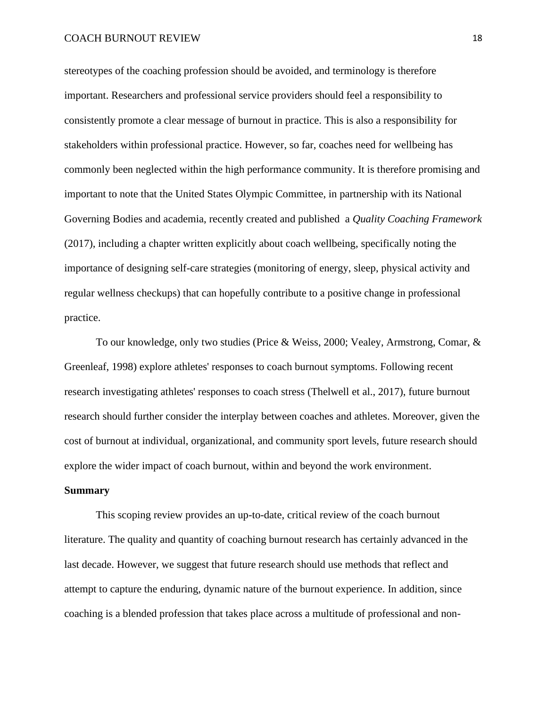stereotypes of the coaching profession should be avoided, and terminology is therefore important. Researchers and professional service providers should feel a responsibility to consistently promote a clear message of burnout in practice. This is also a responsibility for stakeholders within professional practice. However, so far, coaches need for wellbeing has commonly been neglected within the high performance community. It is therefore promising and important to note that the United States Olympic Committee, in partnership with its National Governing Bodies and academia, recently created and published a *Quality Coaching Framework* (2017), including a chapter written explicitly about coach wellbeing, specifically noting the importance of designing self-care strategies (monitoring of energy, sleep, physical activity and regular wellness checkups) that can hopefully contribute to a positive change in professional practice.

To our knowledge, only two studies (Price & Weiss, 2000; Vealey, Armstrong, Comar, & Greenleaf, 1998) explore athletes' responses to coach burnout symptoms. Following recent research investigating athletes' responses to coach stress (Thelwell et al., 2017), future burnout research should further consider the interplay between coaches and athletes. Moreover, given the cost of burnout at individual, organizational, and community sport levels, future research should explore the wider impact of coach burnout, within and beyond the work environment.

#### **Summary**

This scoping review provides an up-to-date, critical review of the coach burnout literature. The quality and quantity of coaching burnout research has certainly advanced in the last decade. However, we suggest that future research should use methods that reflect and attempt to capture the enduring, dynamic nature of the burnout experience. In addition, since coaching is a blended profession that takes place across a multitude of professional and non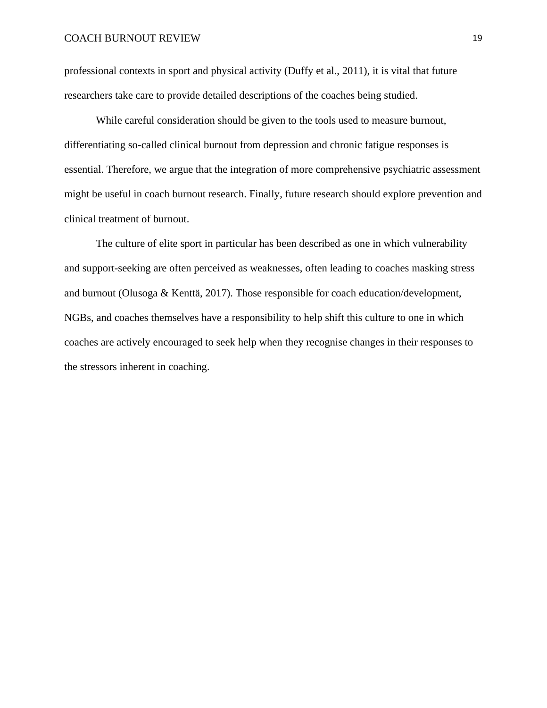professional contexts in sport and physical activity (Duffy et al., 2011), it is vital that future researchers take care to provide detailed descriptions of the coaches being studied.

While careful consideration should be given to the tools used to measure burnout, differentiating so-called clinical burnout from depression and chronic fatigue responses is essential. Therefore, we argue that the integration of more comprehensive psychiatric assessment might be useful in coach burnout research. Finally, future research should explore prevention and clinical treatment of burnout.

The culture of elite sport in particular has been described as one in which vulnerability and support-seeking are often perceived as weaknesses, often leading to coaches masking stress and burnout (Olusoga & Kenttä, 2017). Those responsible for coach education/development, NGBs, and coaches themselves have a responsibility to help shift this culture to one in which coaches are actively encouraged to seek help when they recognise changes in their responses to the stressors inherent in coaching.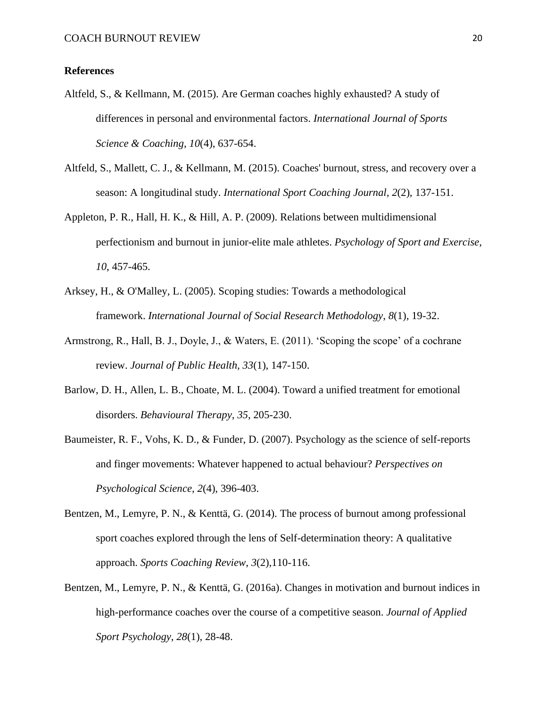# **References**

- Altfeld, S., & Kellmann, M. (2015). Are German coaches highly exhausted? A study of differences in personal and environmental factors. *International Journal of Sports Science & Coaching*, *10*(4), 637-654.
- Altfeld, S., Mallett, C. J., & Kellmann, M. (2015). Coaches' burnout, stress, and recovery over a season: A longitudinal study. *International Sport Coaching Journal*, *2*(2), 137-151.
- Appleton, P. R., Hall, H. K., & Hill, A. P. (2009). Relations between multidimensional perfectionism and burnout in junior-elite male athletes. *Psychology of Sport and Exercise*, *10*, 457-465.
- Arksey, H., & O'Malley, L. (2005). Scoping studies: Towards a methodological framework. *International Journal of Social Research Methodology*, *8*(1), 19-32.
- Armstrong, R., Hall, B. J., Doyle, J., & Waters, E. (2011). 'Scoping the scope' of a cochrane review. *Journal of Public Health, 33*(1), 147-150.
- Barlow, D. H., Allen, L. B., Choate, M. L. (2004). Toward a unified treatment for emotional disorders. *Behavioural Therapy*, *35*, 205-230.
- Baumeister, R. F., Vohs, K. D., & Funder, D. (2007). Psychology as the science of self-reports and finger movements: Whatever happened to actual behaviour? *Perspectives on Psychological Science*, *2*(4), 396-403.
- Bentzen, M., Lemyre, P. N., & Kenttä, G. (2014). The process of burnout among professional sport coaches explored through the lens of Self-determination theory: A qualitative approach. *Sports Coaching Review*, *3*(2),110-116.
- Bentzen, M., Lemyre, P. N., & Kenttä, G. (2016a). Changes in motivation and burnout indices in high-performance coaches over the course of a competitive season. *Journal of Applied Sport Psychology*, *28*(1), 28-48.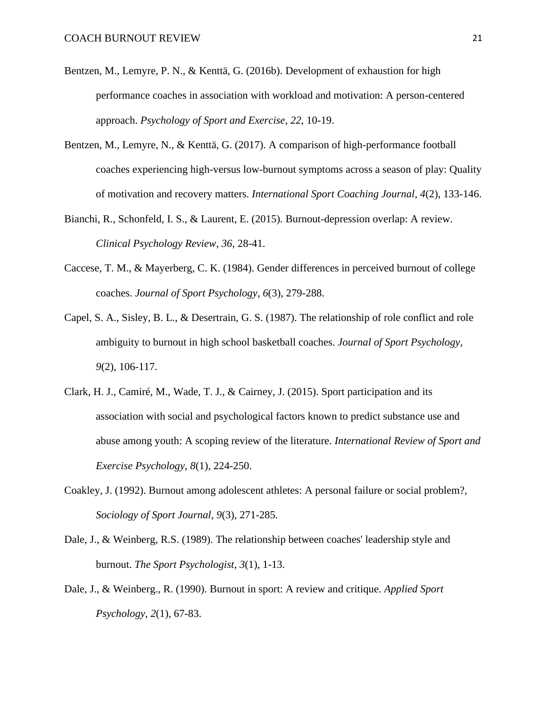- Bentzen, M., Lemyre, P. N., & Kenttä, G. (2016b). Development of exhaustion for high performance coaches in association with workload and motivation: A person-centered approach. *Psychology of Sport and Exercise*, *22*, 10-19.
- Bentzen, M., Lemyre, N., & Kenttä, G. (2017). A comparison of high-performance football coaches experiencing high-versus low-burnout symptoms across a season of play: Quality of motivation and recovery matters. *International Sport Coaching Journal, 4*(2), 133-146.
- Bianchi, R., Schonfeld, I. S., & Laurent, E. (2015). Burnout-depression overlap: A review. *Clinical Psychology Review*, *36*, 28-41.
- Caccese, T. M., & Mayerberg, C. K. (1984). Gender differences in perceived burnout of college coaches. *Journal of Sport Psychology*, *6*(3), 279-288.
- Capel, S. A., Sisley, B. L., & Desertrain, G. S. (1987). The relationship of role conflict and role ambiguity to burnout in high school basketball coaches. *Journal of Sport Psychology*, *9*(2), 106-117.
- Clark, H. J., Camiré, M., Wade, T. J., & Cairney, J. (2015). Sport participation and its association with social and psychological factors known to predict substance use and abuse among youth: A scoping review of the literature. *International Review of Sport and Exercise Psychology*, *8*(1), 224-250.
- Coakley, J. (1992). Burnout among adolescent athletes: A personal failure or social problem?, *Sociology of Sport Journal*, *9*(3), 271-285.
- Dale, J., & Weinberg, R.S. (1989). The relationship between coaches' leadership style and burnout. *The Sport Psychologist*, *3*(1), 1-13.
- Dale, J., & Weinberg., R. (1990). Burnout in sport: A review and critique. *Applied Sport Psychology*, *2*(1), 67-83.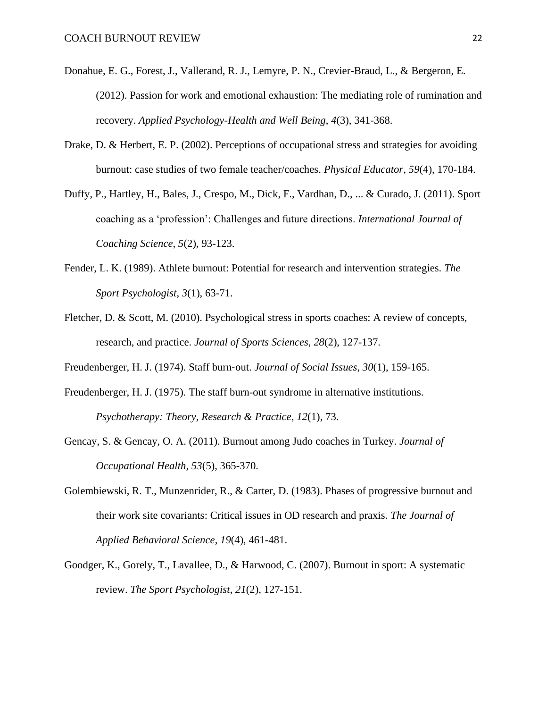- Donahue, E. G., Forest, J., Vallerand, R. J., Lemyre, P. N., Crevier-Braud, L., & Bergeron, E. (2012). Passion for work and emotional exhaustion: The mediating role of rumination and recovery. *Applied Psychology-Health and Well Being*, *4*(3), 341-368.
- Drake, D. & Herbert, E. P. (2002). Perceptions of occupational stress and strategies for avoiding burnout: case studies of two female teacher/coaches. *Physical Educator*, *59*(4), 170-184.
- Duffy, P., Hartley, H., Bales, J., Crespo, M., Dick, F., Vardhan, D., ... & Curado, J. (2011). Sport coaching as a 'profession': Challenges and future directions. *International Journal of Coaching Science*, *5*(2), 93-123.
- Fender, L. K. (1989). Athlete burnout: Potential for research and intervention strategies. *The Sport Psychologist*, *3*(1), 63-71.
- Fletcher, D. & Scott, M. (2010). Psychological stress in sports coaches: A review of concepts, research, and practice. *Journal of Sports Sciences*, *28*(2), 127-137.
- Freudenberger, H. J. (1974). Staff burn‐out. *Journal of Social Issues*, *30*(1), 159-165.
- Freudenberger, H. J. (1975). The staff burn-out syndrome in alternative institutions. *Psychotherapy: Theory, Research & Practice*, *12*(1), 73.
- Gencay, S. & Gencay, O. A. (2011). Burnout among Judo coaches in Turkey. *Journal of Occupational Health, 53*(5), 365-370.
- Golembiewski, R. T., Munzenrider, R., & Carter, D. (1983). Phases of progressive burnout and their work site covariants: Critical issues in OD research and praxis. *The Journal of Applied Behavioral Science*, *19*(4), 461-481.
- Goodger, K., Gorely, T., Lavallee, D., & Harwood, C. (2007). Burnout in sport: A systematic review. *The Sport Psychologist*, *21*(2), 127-151.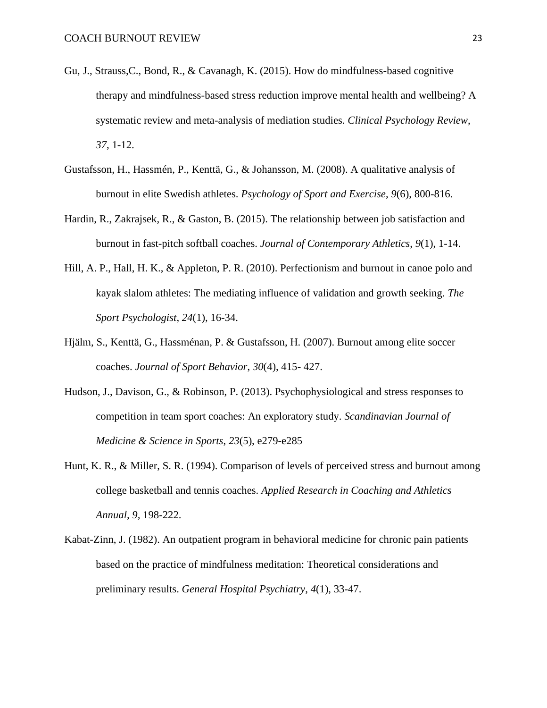- Gu, J., Strauss,C., Bond, R., & Cavanagh, K. (2015). How do mindfulness-based cognitive therapy and mindfulness-based stress reduction improve mental health and wellbeing? A systematic review and meta-analysis of mediation studies. *Clinical Psychology Review*, *37*, 1-12.
- Gustafsson, H., Hassmén, P., Kenttä, G., & Johansson, M. (2008). A qualitative analysis of burnout in elite Swedish athletes. *Psychology of Sport and Exercise*, *9*(6), 800-816.
- Hardin, R., Zakrajsek, R., & Gaston, B. (2015). The relationship between job satisfaction and burnout in fast-pitch softball coaches. *Journal of Contemporary Athletics*, *9*(1), 1-14.
- Hill, A. P., Hall, H. K., & Appleton, P. R. (2010). Perfectionism and burnout in canoe polo and kayak slalom athletes: The mediating influence of validation and growth seeking. *The Sport Psychologist*, *24*(1), 16-34.
- Hjälm, S., Kenttä, G., Hassménan, P. & Gustafsson, H. (2007). Burnout among elite soccer coaches. *Journal of Sport Behavior*, *30*(4), 415- 427.
- Hudson, J., Davison, G., & Robinson, P. (2013). Psychophysiological and stress responses to competition in team sport coaches: An exploratory study. *Scandinavian Journal of Medicine & Science in Sports*, *23*(5), e279-e285
- Hunt, K. R., & Miller, S. R. (1994). Comparison of levels of perceived stress and burnout among college basketball and tennis coaches. *Applied Research in Coaching and Athletics Annual, 9,* 198-222.
- Kabat-Zinn, J. (1982). An outpatient program in behavioral medicine for chronic pain patients based on the practice of mindfulness meditation: Theoretical considerations and preliminary results. *General Hospital Psychiatry*, *4*(1), 33-47.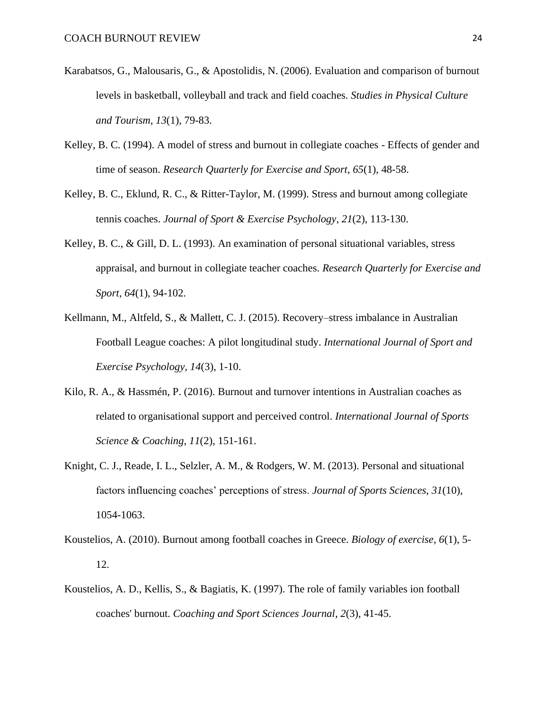- Karabatsos, G., Malousaris, G., & Apostolidis, N. (2006). Evaluation and comparison of burnout levels in basketball, volleyball and track and field coaches. *Studies in Physical Culture and Tourism*, *13*(1), 79-83.
- Kelley, B. C. (1994). A model of stress and burnout in collegiate coaches Effects of gender and time of season. *Research Quarterly for Exercise and Sport*, *65*(1), 48-58.
- Kelley, B. C., Eklund, R. C., & Ritter-Taylor, M. (1999). Stress and burnout among collegiate tennis coaches. *Journal of Sport & Exercise Psychology*, *21*(2), 113-130.
- Kelley, B. C., & Gill, D. L. (1993). An examination of personal situational variables, stress appraisal, and burnout in collegiate teacher coaches. *Research Quarterly for Exercise and Sport*, *64*(1), 94-102.
- Kellmann, M., Altfeld, S., & Mallett, C. J. (2015). Recovery–stress imbalance in Australian Football League coaches: A pilot longitudinal study. *International Journal of Sport and Exercise Psychology, 14*(3), 1-10.
- Kilo, R. A., & Hassmén, P. (2016). Burnout and turnover intentions in Australian coaches as related to organisational support and perceived control. *International Journal of Sports Science & Coaching*, *11*(2), 151-161.
- Knight, C. J., Reade, I. L., Selzler, A. M., & Rodgers, W. M. (2013). Personal and situational factors influencing coaches' perceptions of stress. *Journal of Sports Sciences*, *31*(10), 1054-1063.
- Koustelios, A. (2010). Burnout among football coaches in Greece. *Biology of exercise*, *6*(1), 5- 12.
- Koustelios, A. D., Kellis, S., & Bagiatis, K. (1997). The role of family variables ion football coaches' burnout. *Coaching and Sport Sciences Journal*, *2*(3), 41-45.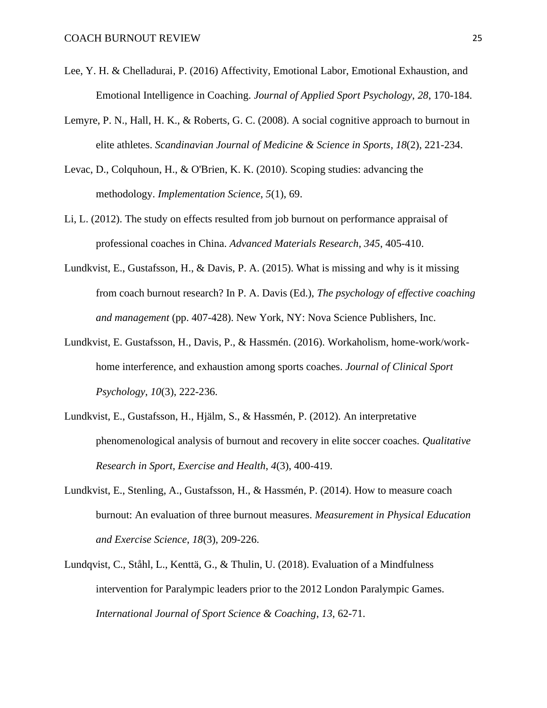- Lee, Y. H. & Chelladurai, P. (2016) Affectivity, Emotional Labor, Emotional Exhaustion, and Emotional Intelligence in Coaching. *Journal of Applied Sport Psychology*, *28*, 170-184.
- Lemyre, P. N., Hall, H. K., & Roberts, G. C. (2008). A social cognitive approach to burnout in elite athletes. *Scandinavian Journal of Medicine & Science in Sports*, *18*(2), 221-234.
- Levac, D., Colquhoun, H., & O'Brien, K. K. (2010). Scoping studies: advancing the methodology. *Implementation Science*, *5*(1), 69.
- Li, L. (2012). The study on effects resulted from job burnout on performance appraisal of professional coaches in China. *Advanced Materials Research*, *345*, 405-410.
- Lundkvist, E., Gustafsson, H., & Davis, P. A. (2015). What is missing and why is it missing from coach burnout research? In P. A. Davis (Ed.), *The psychology of effective coaching and management* (pp. 407-428). New York, NY: Nova Science Publishers, Inc.
- Lundkvist, E. Gustafsson, H., Davis, P., & Hassmén. (2016). Workaholism, home-work/workhome interference, and exhaustion among sports coaches. *Journal of Clinical Sport Psychology*, *10*(3), 222-236.
- Lundkvist, E., Gustafsson, H., Hjälm, S., & Hassmén, P. (2012). An interpretative phenomenological analysis of burnout and recovery in elite soccer coaches. *Qualitative Research in Sport, Exercise and Health*, *4*(3), 400-419.
- Lundkvist, E., Stenling, A., Gustafsson, H., & Hassmén, P. (2014). How to measure coach burnout: An evaluation of three burnout measures. *Measurement in Physical Education and Exercise Science*, *18*(3), 209-226.
- Lundqvist, C., Ståhl, L., Kenttä, G., & Thulin, U. (2018). Evaluation of a Mindfulness intervention for Paralympic leaders prior to the 2012 London Paralympic Games. *International Journal of Sport Science & Coaching*, *13*, 62-71.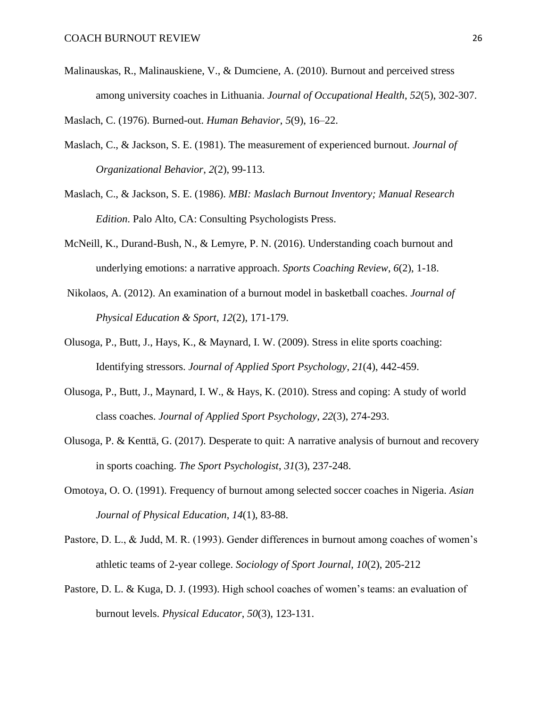Malinauskas, R., Malinauskiene, V., & Dumciene, A. (2010). Burnout and perceived stress among university coaches in Lithuania. *Journal of Occupational Health*, *52*(5), 302-307.

Maslach, C. (1976). Burned-out. *Human Behavior*, *5*(9), 16–22.

- Maslach, C., & Jackson, S. E. (1981). The measurement of experienced burnout. *Journal of Organizational Behavior*, *2*(2), 99-113.
- Maslach, C., & Jackson, S. E. (1986). *MBI: Maslach Burnout Inventory; Manual Research Edition*. Palo Alto, CA: Consulting Psychologists Press.
- McNeill, K., Durand-Bush, N., & Lemyre, P. N. (2016). Understanding coach burnout and underlying emotions: a narrative approach. *Sports Coaching Review*, *6*(2), 1-18.
- Nikolaos, A. (2012). An examination of a burnout model in basketball coaches. *Journal of Physical Education & Sport*, *12*(2), 171-179.
- Olusoga, P., Butt, J., Hays, K., & Maynard, I. W. (2009). Stress in elite sports coaching: Identifying stressors. *Journal of Applied Sport Psychology*, *21*(4), 442-459.
- Olusoga, P., Butt, J., Maynard, I. W., & Hays, K. (2010). Stress and coping: A study of world class coaches. *Journal of Applied Sport Psychology*, *22*(3), 274-293.
- Olusoga, P. & Kenttä, G. (2017). Desperate to quit: A narrative analysis of burnout and recovery in sports coaching. *The Sport Psychologist*, *31*(3), 237-248.
- Omotoya, O. O. (1991). Frequency of burnout among selected soccer coaches in Nigeria. *Asian Journal of Physical Education*, *14*(1), 83-88.
- Pastore, D. L., & Judd, M. R. (1993). Gender differences in burnout among coaches of women's athletic teams of 2-year college. *Sociology of Sport Journal*, *10*(2), 205-212
- Pastore, D. L. & Kuga, D. J. (1993). High school coaches of women's teams: an evaluation of burnout levels. *Physical Educator*, *50*(3), 123-131.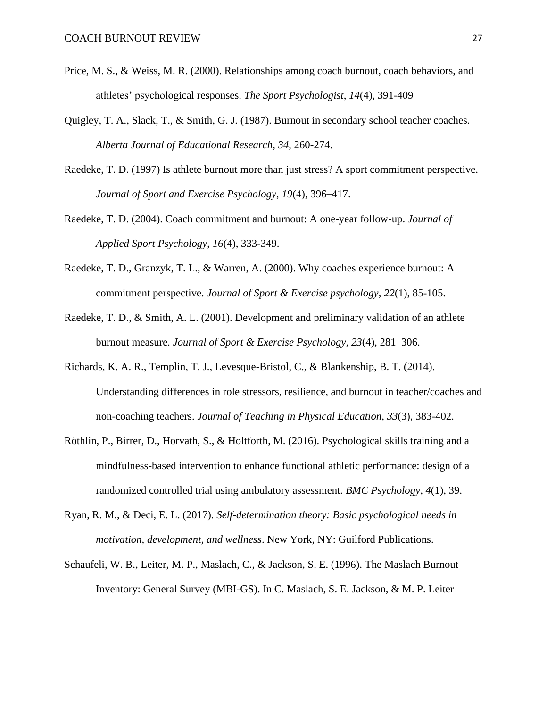- Price, M. S., & Weiss, M. R. (2000). Relationships among coach burnout, coach behaviors, and athletes' psychological responses. *The Sport Psychologist*, *14*(4), 391-409
- Quigley, T. A., Slack, T., & Smith, G. J. (1987). Burnout in secondary school teacher coaches. *Alberta Journal of Educational Research*, *34*, 260-274.
- Raedeke, T. D. (1997) Is athlete burnout more than just stress? A sport commitment perspective. *Journal of Sport and Exercise Psychology*, *19*(4), 396–417.
- Raedeke, T. D. (2004). Coach commitment and burnout: A one-year follow-up. *Journal of Applied Sport Psychology*, *16*(4), 333-349.
- Raedeke, T. D., Granzyk, T. L., & Warren, A. (2000). Why coaches experience burnout: A commitment perspective. *Journal of Sport & Exercise psychology*, *22*(1), 85-105.
- Raedeke, T. D., & Smith, A. L. (2001). Development and preliminary validation of an athlete burnout measure. *Journal of Sport & Exercise Psychology*, *23*(4), 281–306.
- Richards, K. A. R., Templin, T. J., Levesque-Bristol, C., & Blankenship, B. T. (2014). Understanding differences in role stressors, resilience, and burnout in teacher/coaches and non-coaching teachers. *Journal of Teaching in Physical Education*, *33*(3), 383-402.
- Röthlin, P., Birrer, D., Horvath, S., & Holtforth, M. (2016). Psychological skills training and a mindfulness-based intervention to enhance functional athletic performance: design of a randomized controlled trial using ambulatory assessment. *BMC Psychology*, *4*(1), 39.
- Ryan, R. M., & Deci, E. L. (2017). *Self-determination theory: Basic psychological needs in motivation, development, and wellness*. New York, NY: Guilford Publications.
- Schaufeli, W. B., Leiter, M. P., Maslach, C., & Jackson, S. E. (1996). The Maslach Burnout Inventory: General Survey (MBI-GS). In C. Maslach, S. E. Jackson, & M. P. Leiter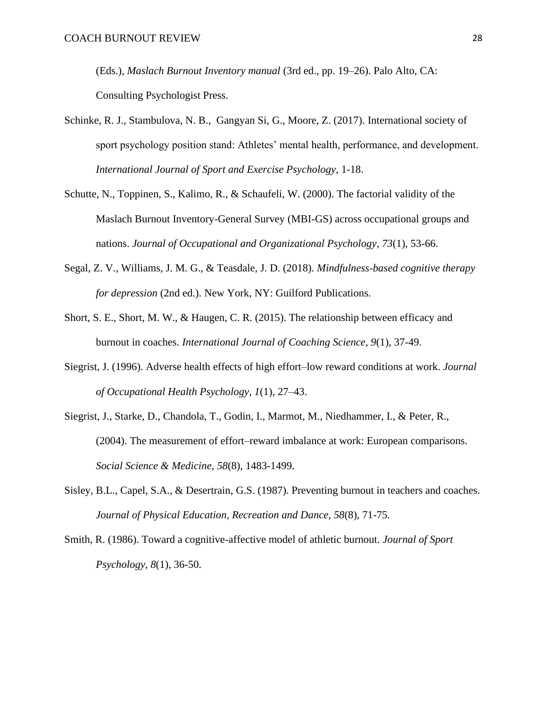(Eds.), *Maslach Burnout Inventory manual* (3rd ed., pp. 19–26). Palo Alto, CA: Consulting Psychologist Press.

- Schinke, R. J., Stambulova, N. B., Gangyan Si, G., Moore, Z. (2017). International society of sport psychology position stand: Athletes' mental health, performance, and development. *International Journal of Sport and Exercise Psychology*, 1-18.
- Schutte, N., Toppinen, S., Kalimo, R., & Schaufeli, W. (2000). The factorial validity of the Maslach Burnout Inventory-General Survey (MBI-GS) across occupational groups and nations. *Journal of Occupational and Organizational Psychology*, *73*(1), 53-66.
- Segal, Z. V., Williams, J. M. G., & Teasdale, J. D. (2018). *Mindfulness-based cognitive therapy for depression* (2nd ed.). New York, NY: Guilford Publications.
- Short, S. E., Short, M. W., & Haugen, C. R. (2015). The relationship between efficacy and burnout in coaches. *International Journal of Coaching Science*, *9*(1), 37-49.
- Siegrist, J. (1996). Adverse health effects of high effort–low reward conditions at work. *Journal of Occupational Health Psychology*, *1*(1), 27–43.
- Siegrist, J., Starke, D., Chandola, T., Godin, I., Marmot, M., Niedhammer, I., & Peter, R., (2004). The measurement of effort–reward imbalance at work: European comparisons. *Social Science & Medicine*, *58*(8), 1483-1499.
- Sisley, B.L., Capel, S.A., & Desertrain, G.S. (1987). Preventing burnout in teachers and coaches. *Journal of Physical Education, Recreation and Dance*, *58*(8), 71-75.
- Smith, R. (1986). Toward a cognitive-affective model of athletic burnout. *Journal of Sport Psychology*, *8*(1), 36-50.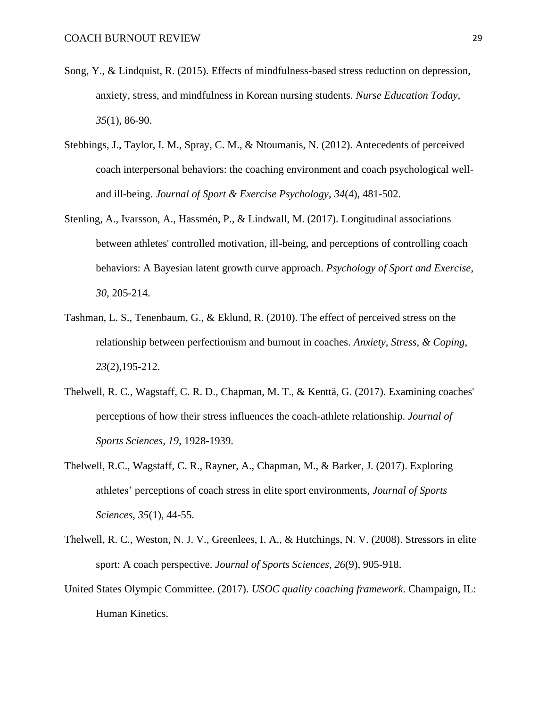- Song, Y., & Lindquist, R. (2015). Effects of mindfulness-based stress reduction on depression, anxiety, stress, and mindfulness in Korean nursing students. *Nurse Education Today*, *35*(1), 86-90.
- Stebbings, J., Taylor, I. M., Spray, C. M., & Ntoumanis, N. (2012). Antecedents of perceived coach interpersonal behaviors: the coaching environment and coach psychological welland ill-being. *Journal of Sport & Exercise Psychology*, *34*(4), 481-502.
- Stenling, A., Ivarsson, A., Hassmén, P., & Lindwall, M. (2017). Longitudinal associations between athletes' controlled motivation, ill-being, and perceptions of controlling coach behaviors: A Bayesian latent growth curve approach. *Psychology of Sport and Exercise*, *30*, 205-214.
- Tashman, L. S., Tenenbaum, G., & Eklund, R. (2010). The effect of perceived stress on the relationship between perfectionism and burnout in coaches. *Anxiety, Stress, & Coping*, *23*(2),195-212.
- Thelwell, R. C., Wagstaff, C. R. D., Chapman, M. T., & Kenttä, G. (2017). Examining coaches' perceptions of how their stress influences the coach-athlete relationship. *Journal of Sports Sciences*, *19*, 1928-1939.
- Thelwell, R.C., Wagstaff, C. R., Rayner, A., Chapman, M., & Barker, J. (2017). Exploring athletes' perceptions of coach stress in elite sport environments, *Journal of Sports Sciences*, *35*(1), 44-55.
- Thelwell, R. C., Weston, N. J. V., Greenlees, I. A., & Hutchings, N. V. (2008). Stressors in elite sport: A coach perspective. *Journal of Sports Sciences*, *26*(9), 905-918.
- United States Olympic Committee. (2017). *USOC quality coaching framework*. Champaign, IL: Human Kinetics.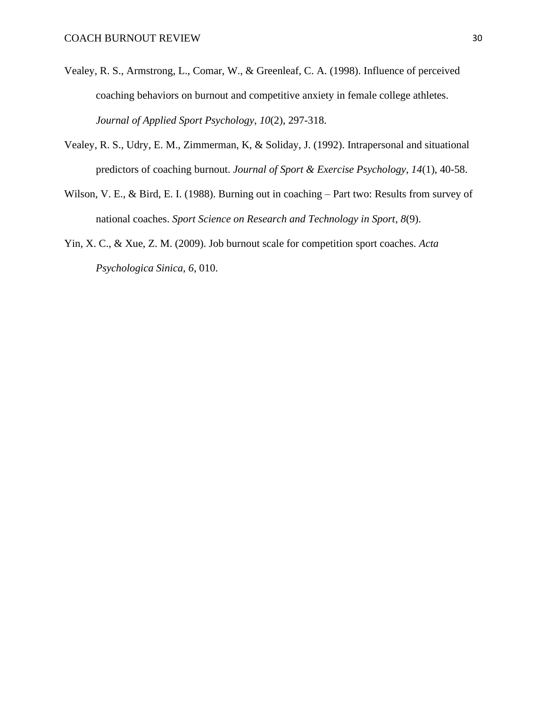- Vealey, R. S., Armstrong, L., Comar, W., & Greenleaf, C. A. (1998). Influence of perceived coaching behaviors on burnout and competitive anxiety in female college athletes. *Journal of Applied Sport Psychology*, *10*(2), 297-318.
- Vealey, R. S., Udry, E. M., Zimmerman, K, & Soliday, J. (1992). Intrapersonal and situational predictors of coaching burnout. *Journal of Sport & Exercise Psychology*, *14*(1), 40-58.
- Wilson, V. E., & Bird, E. I. (1988). Burning out in coaching Part two: Results from survey of national coaches. *Sport Science on Research and Technology in Sport*, *8*(9).
- Yin, X. C., & Xue, Z. M. (2009). Job burnout scale for competition sport coaches. *Acta Psychologica Sinica*, *6*, 010.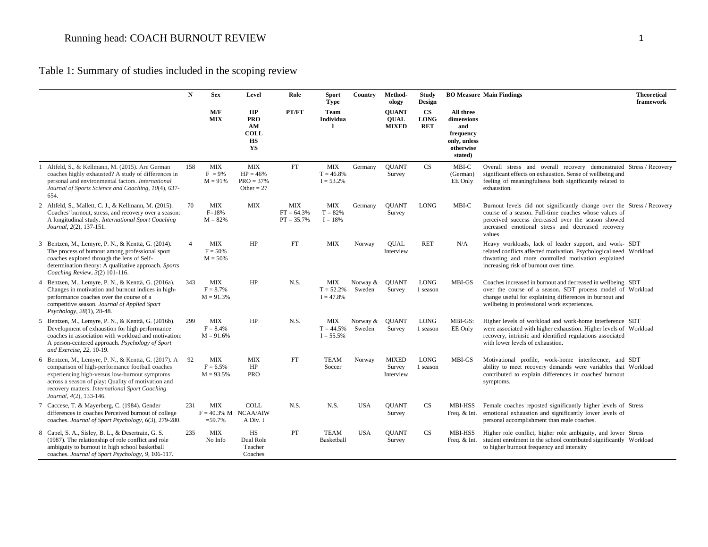# Table 1: Summary of studies included in the scoping review

|                                                                                                                                                                                                                                                                                             | $\mathbf N$    | <b>Sex</b>                                         | Level                                                    | Role                                       | <b>Sport</b><br><b>Type</b>               | Country              | Method-<br>ology                            | <b>Study</b><br>Design                     |                                                                                     | <b>BO Measure Main Findings</b><br><b>Theoretical</b><br>framework                                                                                                                                                                                    |
|---------------------------------------------------------------------------------------------------------------------------------------------------------------------------------------------------------------------------------------------------------------------------------------------|----------------|----------------------------------------------------|----------------------------------------------------------|--------------------------------------------|-------------------------------------------|----------------------|---------------------------------------------|--------------------------------------------|-------------------------------------------------------------------------------------|-------------------------------------------------------------------------------------------------------------------------------------------------------------------------------------------------------------------------------------------------------|
|                                                                                                                                                                                                                                                                                             |                | M/F<br><b>MIX</b>                                  | HP<br><b>PRO</b><br>AM<br><b>COLL</b><br><b>HS</b><br>YS | PT/FT                                      | Team<br>Individua<br>$\mathbf{I}$         |                      | <b>OUANT</b><br><b>QUAL</b><br><b>MIXED</b> | $\mathbf{CS}$<br><b>LONG</b><br><b>RET</b> | All three<br>dimensions<br>and<br>frequency<br>only, unless<br>otherwise<br>stated) |                                                                                                                                                                                                                                                       |
| Altfeld, S., & Kellmann, M. (2015). Are German<br>coaches highly exhausted? A study of differences in<br>personal and environmental factors. International<br>Journal of Sports Science and Coaching, 10(4), 637-<br>654.                                                                   | 158            | <b>MIX</b><br>$F = 9\%$<br>$M = 91%$               | <b>MIX</b><br>$HP = 46%$<br>$PRO = 37%$<br>Other = $27$  | FT                                         | <b>MIX</b><br>$T = 46.8%$<br>$I = 53.2\%$ | Germany              | <b>QUANT</b><br>Survey                      | CS                                         | MBI-C<br>(German)<br>EE Only                                                        | Overall stress and overall recovery demonstrated Stress / Recovery<br>significant effects on exhaustion. Sense of wellbeing and<br>feeling of meaningfulness both significantly related to<br>exhaustion.                                             |
| 2 Altfeld, S., Mallett, C. J., & Kellmann, M. (2015).<br>Coaches' burnout, stress, and recovery over a season:<br>A longitudinal study. International Sport Coaching<br>Journal, 2(2), 137-151.                                                                                             | 70             | <b>MIX</b><br>$F = 18%$<br>$M = 82%$               | <b>MIX</b>                                               | <b>MIX</b><br>$FT = 64.3%$<br>$PT = 35.7%$ | <b>MIX</b><br>$T = 82%$<br>$I = 18%$      | Germany              | <b>OUANT</b><br>Survey                      | <b>LONG</b>                                | MBI-C                                                                               | Burnout levels did not significantly change over the Stress / Recovery<br>course of a season. Full-time coaches whose values of<br>perceived success decreased over the season showed<br>increased emotional stress and decreased recovery<br>values. |
| 3 Bentzen, M., Lemyre, P. N., & Kenttä, G. (2014).<br>The process of burnout among professional sport<br>coaches explored through the lens of Self-<br>determination theory: A qualitative approach. Sports<br>Coaching Review, 3(2) 101-116.                                               | $\overline{4}$ | <b>MIX</b><br>$F = 50%$<br>$M = 50%$               | HP                                                       | <b>FT</b>                                  | <b>MIX</b>                                | Norway               | <b>OUAL</b><br>Interview                    | <b>RET</b>                                 | N/A                                                                                 | Heavy workloads, lack of leader support, and work- SDT<br>related conflicts affected motivation. Psychological need Workload<br>thwarting and more controlled motivation explained<br>increasing risk of burnout over time.                           |
| 4 Bentzen, M., Lemyre, P. N., & Kenttä, G. (2016a).<br>Changes in motivation and burnout indices in high-<br>performance coaches over the course of a<br>competitive season. Journal of Applied Sport<br>Psychology, 28(1), 28-48.                                                          | 343            | MIX<br>$F = 8.7\%$<br>$M = 91.3%$                  | HP                                                       | N.S.                                       | MIX<br>$T = 52.2%$<br>$I = 47.8%$         | Norway $&$<br>Sweden | <b>OUANT</b><br>Survey                      | <b>LONG</b><br>1 season                    | MBI-GS                                                                              | Coaches increased in burnout and decreased in wellbeing SDT<br>over the course of a season. SDT process model of Workload<br>change useful for explaining differences in burnout and<br>wellbeing in professional work experiences.                   |
| 5 Bentzen, M., Lemyre, P. N., & Kenttä, G. (2016b).<br>Development of exhaustion for high performance<br>coaches in association with workload and motivation:<br>A person-centered approach. Psychology of Sport<br>and Exercise, 22, 10-19.                                                | 299            | MIX<br>$F = 8.4%$<br>$M = 91.6%$                   | HP                                                       | N.S.                                       | <b>MIX</b><br>$T = 44.5%$<br>$I = 55.5%$  | Norway &<br>Sweden   | <b>OUANT</b><br>Survey                      | <b>LONG</b><br>1 season                    | MBI-GS:<br>EE Only                                                                  | Higher levels of workload and work-home interference SDT<br>were associated with higher exhaustion. Higher levels of Workload<br>recovery, intrinsic and identified regulations associated<br>with lower levels of exhaustion.                        |
| 6 Bentzen, M., Lemyre, P. N., & Kenttä, G. (2017). A<br>comparison of high-performance football coaches<br>experiencing high-versus low-burnout symptoms<br>across a season of play: Quality of motivation and<br>recovery matters. International Sport Coaching<br>Journal, 4(2), 133-146. | 92             | MIX<br>$F = 6.5%$<br>$M = 93.5%$                   | <b>MIX</b><br>HP<br><b>PRO</b>                           | FT                                         | <b>TEAM</b><br>Soccer                     | Norway               | <b>MIXED</b><br>Survey<br>Interview         | <b>LONG</b><br>1 season                    | MBI-GS                                                                              | Motivational profile, work-home interference, and SDT<br>ability to meet recovery demands were variables that Workload<br>contributed to explain differences in coaches' burnout<br>symptoms.                                                         |
| 7 Caccese, T. & Mayerberg, C. (1984). Gender<br>differences in coaches Perceived burnout of college<br>coaches. Journal of Sport Psychology, 6(3), 279-280.                                                                                                                                 | 231            | <b>MIX</b><br>$F = 40.3\%$ M NCAA/AIW<br>$= 59.7%$ | <b>COLL</b><br>A Div. I                                  | N.S.                                       | N.S.                                      | <b>USA</b>           | <b>OUANT</b><br>Survey                      | CS                                         | MBI-HSS<br>Freq. $& Int.$                                                           | Female coaches reposted significantly higher levels of Stress<br>emotional exhaustion and significantly lower levels of<br>personal accomplishment than male coaches.                                                                                 |
| 8 Capel, S. A., Sisley, B. L., & Desertrain, G. S.<br>(1987). The relationship of role conflict and role<br>ambiguity to burnout in high school basketball<br>coaches. Journal of Sport Psychology, 9, 106-117.                                                                             | 235            | <b>MIX</b><br>No Info                              | <b>HS</b><br>Dual Role<br>Teacher<br>Coaches             | PT                                         | <b>TEAM</b><br>Basketball                 | <b>USA</b>           | <b>OUANT</b><br>Survey                      | <b>CS</b>                                  | <b>MBI-HSS</b><br>Freq. & Int.                                                      | Higher role conflict, higher role ambiguity, and lower Stress<br>student enrolment in the school contributed significantly Workload<br>to higher burnout frequency and intensity                                                                      |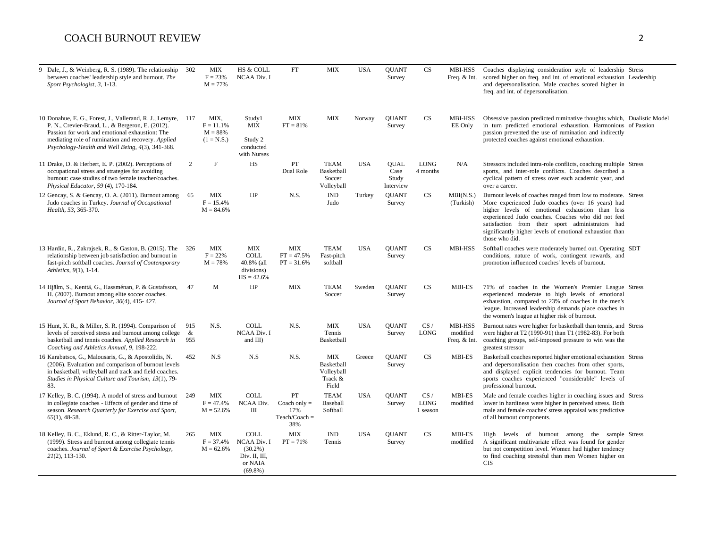| 9 Dale, J., & Weinberg, R. S. (1989). The relationship<br>between coaches' leadership style and burnout. The<br>Sport Psychologist, 3, 1-13.                                                                                                                                 | 302             | <b>MIX</b><br>$F = 23%$<br>$M = 77%$              | <b>HS &amp; COLL</b><br>NCAA Div. I                                                | FT                                                    | <b>MIX</b>                                                 | <b>USA</b> | <b>OUANT</b><br>Survey                    | CS                             | MBI-HSS<br>Freq. & Int.                    | Coaches displaying consideration style of leadership Stress<br>scored higher on freq. and int. of emotional exhaustion Leadership<br>and depersonalisation. Male coaches scored higher in<br>freq. and int. of depersonalisation.                                                                                                                             |  |
|------------------------------------------------------------------------------------------------------------------------------------------------------------------------------------------------------------------------------------------------------------------------------|-----------------|---------------------------------------------------|------------------------------------------------------------------------------------|-------------------------------------------------------|------------------------------------------------------------|------------|-------------------------------------------|--------------------------------|--------------------------------------------|---------------------------------------------------------------------------------------------------------------------------------------------------------------------------------------------------------------------------------------------------------------------------------------------------------------------------------------------------------------|--|
| 10 Donahue, E. G., Forest, J., Vallerand, R. J., Lemyre, 117<br>P. N., Crevier-Braud, L., & Bergeron, E. (2012).<br>Passion for work and emotional exhaustion: The<br>mediating role of rumination and recovery. Applied<br>Psychology-Health and Well Being, 4(3), 341-368. |                 | MIX,<br>$F = 11.1\%$<br>$M = 88%$<br>$(1 = N.S.)$ | Study1<br>MIX<br>Study 2<br>conducted<br>with Nurses                               | <b>MIX</b><br>$FT = 81%$                              | <b>MIX</b>                                                 | Norway     | <b>QUANT</b><br>Survey                    | CS                             | MBI-HSS<br>EE Only                         | Obsessive passion predicted ruminative thoughts which, Dualistic Model<br>in turn predicted emotional exhaustion. Harmonious of Passion<br>passion prevented the use of rumination and indirectly<br>protected coaches against emotional exhaustion.                                                                                                          |  |
| 11 Drake, D. & Herbert, E. P. (2002). Perceptions of<br>occupational stress and strategies for avoiding<br>burnout: case studies of two female teacher/coaches.<br>Physical Educator, 59 (4), 170-184.                                                                       | $\overline{2}$  | F                                                 | <b>HS</b>                                                                          | PT<br>Dual Role                                       | <b>TEAM</b><br>Basketball<br>Soccer<br>Volleyball          | <b>USA</b> | <b>OUAL</b><br>Case<br>Study<br>Interview | <b>LONG</b><br>4 months        | N/A                                        | Stressors included intra-role conflicts, coaching multiple Stress<br>sports, and inter-role conflicts. Coaches described a<br>cyclical pattern of stress over each academic year, and<br>over a career.                                                                                                                                                       |  |
| 12 Gencay, S. & Gencay, O. A. (2011). Burnout among<br>Judo coaches in Turkey. Journal of Occupational<br>Health, 53, 365-370.                                                                                                                                               | 65              | MIX<br>$F = 15.4%$<br>$M = 84.6%$                 | HP                                                                                 | N.S.                                                  | $\mathbf{IND}$<br>Judo                                     | Turkey     | <b>OUANT</b><br>Survey                    | CS                             | MBI(N.S.)<br>(Turkish)                     | Burnout levels of coaches ranged from low to moderate. Stress<br>More experienced Judo coaches (over 16 years) had<br>higher levels of emotional exhaustion than less<br>experienced Judo coaches. Coaches who did not feel<br>satisfaction from their sport administrators had<br>significantly higher levels of emotional exhaustion than<br>those who did. |  |
| 13 Hardin, R., Zakrajsek, R., & Gaston, B. (2015). The 326<br>relationship between job satisfaction and burnout in<br>fast-pitch softball coaches. Journal of Contemporary<br>Athletics, 9(1), 1-14.                                                                         |                 | <b>MIX</b><br>$F = 22%$<br>$M = 78%$              | <b>MIX</b><br><b>COLL</b><br>40.8% (all<br>divisions)<br>$HS = 42.6%$              | <b>MIX</b><br>$FT = 47.5%$<br>$PT = 31.6%$            | <b>TEAM</b><br>Fast-pitch<br>softball                      | <b>USA</b> | <b>OUANT</b><br>Survey                    | CS                             | MBI-HSS                                    | Softball coaches were moderately burned out. Operating SDT<br>conditions, nature of work, contingent rewards, and<br>promotion influenced coaches' levels of burnout.                                                                                                                                                                                         |  |
| 14 Hjälm, S., Kenttä, G., Hassménan, P. & Gustafsson,<br>H. (2007). Burnout among elite soccer coaches.<br>Journal of Sport Behavior, 30(4), 415-427.                                                                                                                        | 47              | M                                                 | HP                                                                                 | <b>MIX</b>                                            | <b>TEAM</b><br>Soccer                                      | Sweden     | <b>OUANT</b><br>Survey                    | CS                             | <b>MBI-ES</b>                              | 71% of coaches in the Women's Premier League Stress<br>experienced moderate to high levels of emotional<br>exhaustion, compared to 23% of coaches in the men's<br>league. Increased leadership demands place coaches in<br>the women's league at higher risk of burnout.                                                                                      |  |
| 15 Hunt, K. R., & Miller, S. R. (1994). Comparison of<br>levels of perceived stress and burnout among college<br>basketball and tennis coaches. Applied Research in<br>Coaching and Athletics Annual, 9, 198-222.                                                            | 915<br>&<br>955 | N.S.                                              | <b>COLL</b><br><b>NCAA Div. I</b><br>and $III$ )                                   | N.S.                                                  | <b>MIX</b><br>Tennis<br>Basketball                         | <b>USA</b> | <b>OUANT</b><br>Survey                    | CS/<br><b>LONG</b>             | <b>MBI-HSS</b><br>modified<br>Freq. & Int. | Burnout rates were higher for basketball than tennis, and Stress<br>were higher at T2 (1990-91) than T1 (1982-83). For both<br>coaching groups, self-imposed pressure to win was the<br>greatest stressor                                                                                                                                                     |  |
| 16 Karabatsos, G., Malousaris, G., & Apostolidis, N.<br>(2006). Evaluation and comparison of burnout levels<br>in basketball, volleyball and track and field coaches.<br>Studies in Physical Culture and Tourism, 13(1), 79-<br>83.                                          | 452             | N.S                                               | N.S                                                                                | N.S.                                                  | <b>MIX</b><br>Basketball<br>Volleyball<br>Track &<br>Field | Greece     | <b>QUANT</b><br>Survey                    | CS                             | MBI-ES                                     | Basketball coaches reported higher emotional exhaustion Stress<br>and depersonalisation then coaches from other sports,<br>and displayed explicit tendencies for burnout. Team<br>sports coaches experienced "considerable" levels of<br>professional burnout.                                                                                                |  |
| 17 Kelley, B. C. (1994). A model of stress and burnout<br>in collegiate coaches - Effects of gender and time of<br>season. Research Quarterly for Exercise and Sport,<br>$65(1)$ , 48-58.                                                                                    | 249             | <b>MIX</b><br>$F = 47.4%$<br>$M = 52.6%$          | <b>COLL</b><br>NCAA Div.<br>Ш                                                      | PT<br>Coach only $=$<br>17%<br>$Teach/Coach =$<br>38% | <b>TEAM</b><br>Baseball<br>Softball                        | <b>USA</b> | <b>OUANT</b><br>Survey                    | CS/<br><b>LONG</b><br>1 season | <b>MBI-ES</b><br>modified                  | Male and female coaches higher in coaching issues and Stress<br>lower in hardiness were higher in perceived stress. Both<br>male and female coaches' stress appraisal was predictive<br>of all burnout components.                                                                                                                                            |  |
| 18 Kelley, B. C., Eklund, R. C., & Ritter-Taylor, M.<br>(1999). Stress and burnout among collegiate tennis<br>coaches. Journal of Sport & Exercise Psychology,<br>$2I(2)$ , 113-130.                                                                                         | 265             | <b>MIX</b><br>$F = 37.4%$<br>$M = 62.6%$          | <b>COLL</b><br>NCAA Div. I<br>$(30.2\%)$<br>Div. II, III,<br>or NAIA<br>$(69.8\%)$ | <b>MIX</b><br>$PT = 71%$                              | <b>IND</b><br>Tennis                                       | <b>USA</b> | <b>QUANT</b><br>Survey                    | CS                             | <b>MBI-ES</b><br>modified                  | High levels of burnout among the sample Stress<br>A significant multivariate effect was found for gender<br>but not competition level. Women had higher tendency<br>to find coaching stressful than men Women higher on<br><b>CIS</b>                                                                                                                         |  |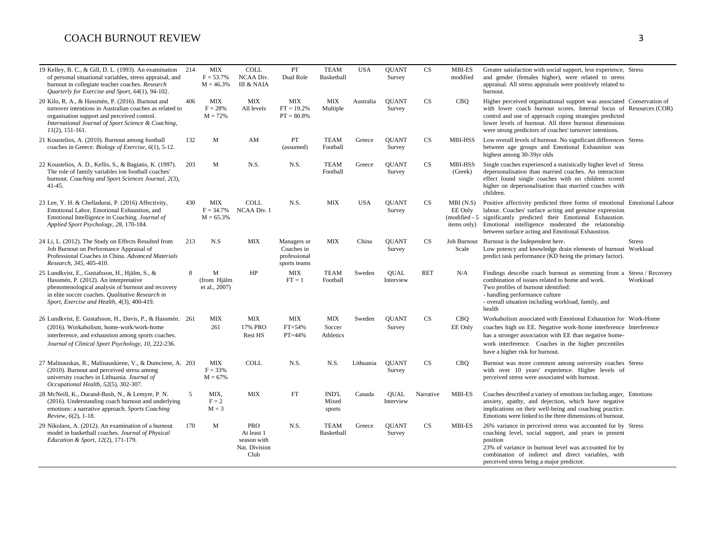| 19 Kelley, B. C., & Gill, D. L. (1993). An examination<br>of personal situational variables, stress appraisal, and<br>burnout in collegiate teacher coaches. Research<br>Quarterly for Exercise and Sport, 64(1), 94-102.                      | 214 | <b>MIX</b><br>$F = 53.7%$<br>$M = 46.3%$ | <b>COLL</b><br>NCAA Div.<br><b>III &amp; NAIA</b>                | $\cal{PT}$<br>Dual Role                                   | <b>TEAM</b><br>Basketball         | <b>USA</b> | <b>QUANT</b><br>Survey   | <b>CS</b>  | <b>MBI-ES</b><br>modified                           | Greater satisfaction with social support, less experience, Stress<br>and gender (females higher), were related to stress<br>appraisal. All stress appraisals were positively related to<br>burnout.                                                                                                                         |  |
|------------------------------------------------------------------------------------------------------------------------------------------------------------------------------------------------------------------------------------------------|-----|------------------------------------------|------------------------------------------------------------------|-----------------------------------------------------------|-----------------------------------|------------|--------------------------|------------|-----------------------------------------------------|-----------------------------------------------------------------------------------------------------------------------------------------------------------------------------------------------------------------------------------------------------------------------------------------------------------------------------|--|
| 20 Kilo, R. A., & Hassmén, P. (2016). Burnout and<br>turnover intentions in Australian coaches as related to<br>organisation support and perceived control.<br>International Journal of Sport Science & Coaching,<br>$11(2)$ , 151-161.        | 406 | <b>MIX</b><br>$F = 28%$<br>$M = 72%$     | <b>MIX</b><br>All levels                                         | <b>MIX</b><br>$FT = 19.2%$<br>$PT = 80.8\%$               | <b>MIX</b><br>Multiple            | Australia  | <b>QUANT</b><br>Survey   | <b>CS</b>  | CBQ                                                 | Higher perceived organisational support was associated Conservation of<br>with lower coach burnout scores. Internal locus of Resources (COR)<br>control and use of approach coping strategies predicted<br>lower levels of burnout. All three burnout dimensions<br>were strong predictors of coaches' turnover intentions. |  |
| 21 Koustelios, A. (2010). Burnout among football<br>coaches in Greece. Biology of Exercise, 6(1), 5-12.                                                                                                                                        | 132 | М                                        | AM                                                               | PT<br>(assumed)                                           | <b>TEAM</b><br>Football           | Greece     | <b>OUANT</b><br>Survey   | <b>CS</b>  | MBI-HSS                                             | Low overall levels of burnout. No significant differences Stress<br>between age groups and Emotional Exhaustion was<br>highest among 30-39yr olds                                                                                                                                                                           |  |
| 22 Koustelios, A. D., Kellis, S., & Bagiatis, K. (1997).<br>The role of family variables ion football coaches'<br>burnout. Coaching and Sport Sciences Journal, 2(3),<br>$41 - 45.$                                                            | 203 | M                                        | N.S.                                                             | N.S.                                                      | <b>TEAM</b><br>Football           | Greece     | <b>OUANT</b><br>Survey   | <b>CS</b>  | <b>MBI-HSS</b><br>(Greek)                           | Single coaches experienced a statistically higher level of Stress<br>depersonalisation than married coaches. An interaction<br>effect found single coaches with no children scored<br>higher on depersonalisation than married coaches with<br>children.                                                                    |  |
| 23 Lee, Y. H. & Chelladurai, P. (2016) Affectivity,<br>Emotional Labor, Emotional Exhaustion, and<br>Emotional Intelligence in Coaching. Journal of<br>Applied Sport Psychology, 28, 170-184.                                                  | 430 | <b>MIX</b><br>$F = 34.7%$<br>$M = 65.3%$ | <b>COLL</b><br><b>NCAA Div. I</b>                                | N.S.                                                      | <b>MIX</b>                        | <b>USA</b> | <b>OUANT</b><br>Survey   | <b>CS</b>  | MBI(N.S)<br>EE Only<br>(modified - 5<br>items only) | Positive affectivity predicted three forms of emotional Emotional Labour<br>labour. Coaches' surface acting and genuine expression<br>significantly predicted their Emotional Exhaustion.<br>Emotional intelligence moderated the relationship<br>between surface acting and Emotional Exhaustion.                          |  |
| 24 Li, L. (2012). The Study on Effects Resulted from<br>Job Burnout on Performance Appraisal of<br>Professional Coaches in China. Advanced Materials<br>Research, 345, 405-410.                                                                | 213 | N.S                                      | <b>MIX</b>                                                       | Managers or<br>Coaches in<br>professional<br>sports teams | <b>MIX</b>                        | China      | <b>OUANT</b><br>Survey   | CS         | Job Burnout<br>Scale                                | Burnout is the Independent here.<br><b>Stress</b><br>Low potency and knowledge drain elements of burnout Workload<br>predict task performance (KD being the primary factor).                                                                                                                                                |  |
| 25 Lundkvist, E., Gustafsson, H., Hjälm, S., &<br>Hassmén, P. (2012). An interpretative<br>phenomenological analysis of burnout and recovery<br>in elite soccer coaches. Qualitative Research in<br>Sport, Exercise and Health, 4(3), 400-419. | 8   | M<br>(from Hiälm<br>et al., 2007)        | HP                                                               | <b>MIX</b><br>$FT = 1$                                    | <b>TEAM</b><br>Football           | Sweden     | <b>OUAL</b><br>Interview | <b>RET</b> | N/A                                                 | Findings describe coach burnout as stemming from a Stress / Recovery<br>combination of issues related to home and work.<br>Workload<br>Two profiles of burnout identified:<br>- handling performance culture<br>- overall situation including workload, family, and<br>health                                               |  |
| 26 Lundkvist, E. Gustafsson, H., Davis, P., & Hassmén. 261<br>(2016). Workaholism, home-work/work-home<br>interference, and exhaustion among sports coaches.<br>Journal of Clinical Sport Psychology, 10, 222-236.                             |     | <b>MIX</b><br>261                        | <b>MIX</b><br>17% PRO<br>Rest HS                                 | <b>MIX</b><br>$FT=54%$<br>PT=44%                          | <b>MIX</b><br>Soccer<br>Athletics | Sweden     | <b>QUANT</b><br>Survey   | <b>CS</b>  | <b>CBQ</b><br>EE Only                               | Workaholism associated with Emotional Exhaustion for Work-Home<br>coaches high on EE. Negative work-home interference Interference<br>has a stronger association with EE than negative home-<br>work interference. Coaches in the higher percentiles<br>have a higher risk for burnout.                                     |  |
| 27 Malinauskas, R., Malinauskiene, V., & Dumciene, A. 203<br>(2010). Burnout and perceived stress among<br>university coaches in Lithuania. Journal of<br>Occupational Health, 52(5), 302-307.                                                 |     | <b>MIX</b><br>$F = 33%$<br>$M = 67%$     | <b>COLL</b>                                                      | N.S.                                                      | N.S.                              | Lithuania  | <b>OUANT</b><br>Survey   | <b>CS</b>  | <b>CBQ</b>                                          | Burnout was more common among university coaches Stress<br>with over 10 years' experience. Higher levels of<br>perceived stress were associated with burnout.                                                                                                                                                               |  |
| 28 McNeill, K., Durand-Bush, N., & Lemyre, P. N.<br>(2016). Understanding coach burnout and underlying<br>emotions: a narrative approach. Sports Coaching<br>Review, 6(2), 1-18.                                                               | 5   | MIX,<br>$F = 2$<br>$M = 3$               | <b>MIX</b>                                                       | FT                                                        | <b>IND'L</b><br>Mixed<br>sports   | Canada     | <b>QUAL</b><br>Interview | Narrative  | MBI-ES                                              | Coaches described a variety of emotions including anger, Emotions<br>anxiety, apathy, and dejection, which have negative<br>implications on their well-being and coaching practice.<br>Emotions were linked to the three dimensions of burnout.                                                                             |  |
| 29 Nikolaos, A. (2012). An examination of a burnout<br>model in basketball coaches. Journal of Physical<br>Education & Sport, 12(2), 171-179.                                                                                                  | 170 | M                                        | <b>PRO</b><br>At least 1<br>season with<br>Nat. Division<br>Club | N.S.                                                      | <b>TEAM</b><br>Basketball         | Greece     | <b>OUANT</b><br>Survey   | <b>CS</b>  | <b>MBI-ES</b>                                       | 26% variance in perceived stress was accounted for by Stress<br>coaching level, social support, and years in present<br>position<br>23% of variance in burnout level was accounted for by<br>combination of indirect and direct variables, with<br>perceived stress being a major predictor.                                |  |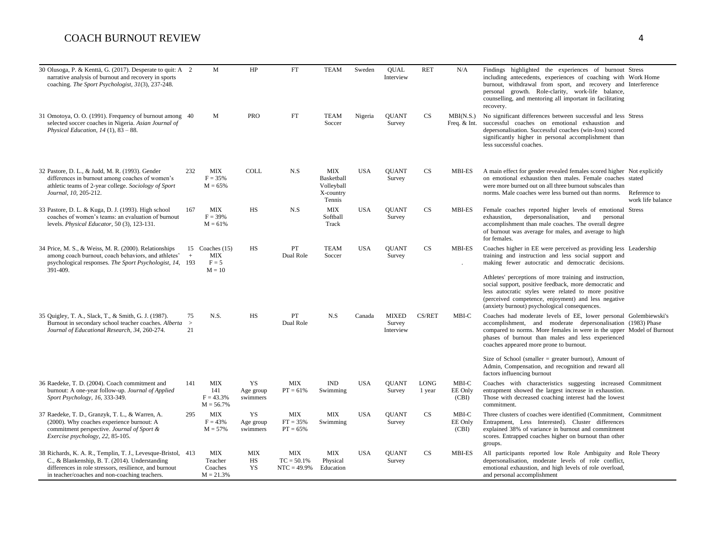| 30 Olusoga, P. & Kenttä, G. (2017). Desperate to quit: A 2<br>narrative analysis of burnout and recovery in sports<br>coaching. The Sport Psychologist, 31(3), 237-248.                                                   |                    | M                                                      | HP                                 | FT                                          | <b>TEAM</b>                                            | Sweden     | <b>OUAL</b><br>Interview            | <b>RET</b>     | N/A                         | Findings highlighted the experiences of burnout Stress<br>including antecedents, experiences of coaching with Work Home<br>burnout, withdrawal from sport, and recovery and Interference<br>personal growth. Role-clarity, work-life balance,<br>counselling, and mentoring all important in facilitating<br>recovery. |
|---------------------------------------------------------------------------------------------------------------------------------------------------------------------------------------------------------------------------|--------------------|--------------------------------------------------------|------------------------------------|---------------------------------------------|--------------------------------------------------------|------------|-------------------------------------|----------------|-----------------------------|------------------------------------------------------------------------------------------------------------------------------------------------------------------------------------------------------------------------------------------------------------------------------------------------------------------------|
| 31 Omotoya, O. O. (1991). Frequency of burnout among 40<br>selected soccer coaches in Nigeria. Asian Journal of<br>Physical Education, $14$ (1), $83 - 88$ .                                                              |                    | M                                                      | <b>PRO</b>                         | FT                                          | <b>TEAM</b><br>Soccer                                  | Nigeria    | <b>QUANT</b><br>Survey              | <b>CS</b>      | MBI(N.S.)<br>Freq. $& Int.$ | No significant differences between successful and less Stress<br>successful coaches on emotional exhaustion and<br>depersonalisation. Successful coaches (win-loss) scored<br>significantly higher in personal accomplishment than<br>less successful coaches.                                                         |
| 32 Pastore, D. L., & Judd, M. R. (1993). Gender<br>differences in burnout among coaches of women's<br>athletic teams of 2-year college. Sociology of Sport<br>Journal, 10, 205-212.                                       | 232                | MIX<br>$F = 35%$<br>$M = 65%$                          | <b>COLL</b>                        | N.S                                         | MIX<br>Basketball<br>Volleyball<br>X-country<br>Tennis | <b>USA</b> | <b>OUANT</b><br>Survey              | <b>CS</b>      | <b>MBI-ES</b>               | A main effect for gender revealed females scored higher Not explicitly<br>on emotional exhaustion then males. Female coaches stated<br>were more burned out on all three burnout subscales than<br>norms. Male coaches were less burned out than norms. Reference to<br>work life balance                              |
| 33 Pastore, D. L. & Kuga, D. J. (1993). High school<br>coaches of women's teams: an evaluation of burnout<br>levels. Physical Educator, 50 (3), 123-131.                                                                  | 167                | <b>MIX</b><br>$F = 39%$<br>$M = 61%$                   | HS                                 | N.S                                         | <b>MIX</b><br>Softball<br>Track                        | <b>USA</b> | <b>OUANT</b><br>Survey              | CS             | <b>MBI-ES</b>               | Female coaches reported higher levels of emotional Stress<br>exhaustion,<br>depersonalisation,<br>and<br>personal<br>accomplishment than male coaches. The overall degree<br>of burnout was average for males, and average to high<br>for females.                                                                     |
| 34 Price, M. S., & Weiss, M. R. (2000). Relationships<br>among coach burnout, coach behaviors, and athletes'<br>psychological responses. The Sport Psychologist, 14, 193<br>391-409.                                      | $+$                | 15 Coaches $(15)$<br><b>MIX</b><br>$F = 5$<br>$M = 10$ | <b>HS</b>                          | PT<br>Dual Role                             | <b>TEAM</b><br>Soccer                                  | <b>USA</b> | <b>OUANT</b><br>Survey              | CS             | <b>MBI-ES</b>               | Coaches higher in EE were perceived as providing less Leadership<br>training and instruction and less social support and<br>making fewer autocratic and democratic decisions.                                                                                                                                          |
|                                                                                                                                                                                                                           |                    |                                                        |                                    |                                             |                                                        |            |                                     |                |                             | Athletes' perceptions of more training and instruction,<br>social support, positive feedback, more democratic and<br>less autocratic styles were related to more positive<br>(perceived competence, enjoyment) and less negative<br>(anxiety burnout) psychological consequences.                                      |
| 35 Quigley, T. A., Slack, T., & Smith, G. J. (1987).<br>Burnout in secondary school teacher coaches. Alberta<br>Journal of Educational Research, 34, 260-274.                                                             | 75<br>$\geq$<br>21 | N.S.                                                   | HS                                 | PT<br>Dual Role                             | N.S                                                    | Canada     | <b>MIXED</b><br>Survey<br>Interview | CS/RET         | MBI-C                       | Coaches had moderate levels of EE, lower personal Golembiewski's<br>accomplishment, and moderate depersonalisation (1983) Phase<br>compared to norms. More females in were in the upper Model of Burnout<br>phases of burnout than males and less experienced<br>coaches appeared more prone to burnout.               |
|                                                                                                                                                                                                                           |                    |                                                        |                                    |                                             |                                                        |            |                                     |                |                             | Size of School (smaller $=$ greater burnout), Amount of<br>Admin, Compensation, and recognition and reward all<br>factors influencing burnout                                                                                                                                                                          |
| 36 Raedeke, T. D. (2004). Coach commitment and<br>burnout: A one-year follow-up. Journal of Applied<br>Sport Psychology, 16, 333-349.                                                                                     | 141                | <b>MIX</b><br>141<br>$F = 43.3%$<br>$M = 56.7%$        | YS<br>Age group<br>swimmers        | <b>MIX</b><br>$PT = 61\%$                   | $\mathbf{IND}$<br>Swimming                             | <b>USA</b> | <b>QUANT</b><br>Survey              | LONG<br>1 year | MBI-C<br>EE Only<br>(CBI)   | Coaches with characteristics suggesting increased Commitment<br>entrapment showed the largest increase in exhaustion.<br>Those with decreased coaching interest had the lowest<br>commitment.                                                                                                                          |
| 37 Raedeke, T. D., Granzyk, T. L., & Warren, A.<br>(2000). Why coaches experience burnout: A<br>commitment perspective. Journal of Sport &<br>Exercise psychology, 22, 85-105.                                            | 295                | MIX<br>$F = 43%$<br>$M = 57%$                          | <b>YS</b><br>Age group<br>swimmers | <b>MIX</b><br>$FT = 35%$<br>$PT = 65\%$     | <b>MIX</b><br>Swimming                                 | <b>USA</b> | <b>OUANT</b><br>Survey              | CS             | MBI-C<br>EE Only<br>(CBI)   | Three clusters of coaches were identified (Commitment, Commitment)<br>Entrapment, Less Interested). Cluster differences<br>explained 38% of variance in burnout and commitment<br>scores. Entrapped coaches higher on burnout than other<br>groups.                                                                    |
| 38 Richards, K. A. R., Templin, T. J., Levesque-Bristol, 413<br>C., & Blankenship, B. T. (2014). Understanding<br>differences in role stressors, resilience, and burnout<br>in teacher/coaches and non-coaching teachers. |                    | <b>MIX</b><br>Teacher<br>Coaches<br>$M = 21.3%$        | <b>MIX</b><br>HS<br><b>YS</b>      | <b>MIX</b><br>$TC = 50.1%$<br>$NTC = 49.9%$ | MIX<br>Physical<br>Education                           | <b>USA</b> | <b>OUANT</b><br>Survey              | CS             | <b>MBI-ES</b>               | All participants reported low Role Ambiguity and Role Theory<br>depersonalisation, moderate levels of role conflict,<br>emotional exhaustion, and high levels of role overload,<br>and personal accomplishment                                                                                                         |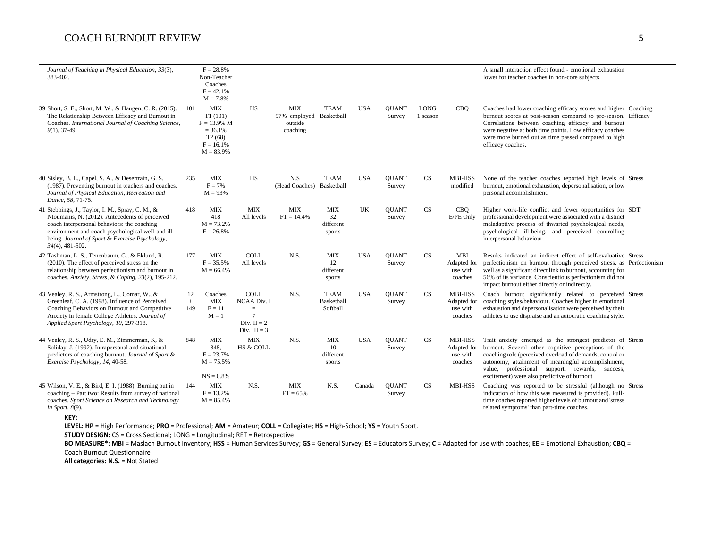| Journal of Teaching in Physical Education, 33(3),<br>383-402.                                                                                                                                                                                                                  |                  | $F = 28.8%$<br>Non-Teacher<br>Coaches<br>$F = 42.1%$<br>$M = 7.8%$                           |                                                                                               |                                                       |                                         |            |                        |                  |                                                      | A small interaction effect found - emotional exhaustion<br>lower for teacher coaches in non-core subjects.                                                                                                                                                                                                                                       |
|--------------------------------------------------------------------------------------------------------------------------------------------------------------------------------------------------------------------------------------------------------------------------------|------------------|----------------------------------------------------------------------------------------------|-----------------------------------------------------------------------------------------------|-------------------------------------------------------|-----------------------------------------|------------|------------------------|------------------|------------------------------------------------------|--------------------------------------------------------------------------------------------------------------------------------------------------------------------------------------------------------------------------------------------------------------------------------------------------------------------------------------------------|
| 39 Short, S. E., Short, M. W., & Haugen, C. R. (2015).<br>The Relationship Between Efficacy and Burnout in<br>Coaches. International Journal of Coaching Science,<br>$9(1)$ , 37-49.                                                                                           | 101              | <b>MIX</b><br>T1(101)<br>$F = 13.9\%$ M<br>$= 86.1%$<br>T2(68)<br>$F = 16.1%$<br>$M = 83.9%$ | HS                                                                                            | MIX<br>97% employed Basketball<br>outside<br>coaching | TEAM                                    | <b>USA</b> | <b>OUANT</b><br>Survey | LONG<br>1 season | <b>CBO</b>                                           | Coaches had lower coaching efficacy scores and higher Coaching<br>burnout scores at post-season compared to pre-season. Efficacy<br>Correlations between coaching efficacy and burnout<br>were negative at both time points. Low efficacy coaches<br>were more burned out as time passed compared to high<br>efficacy coaches.                   |
| 40 Sisley, B. L., Capel, S. A., & Desertrain, G. S.<br>(1987). Preventing burnout in teachers and coaches.<br>Journal of Physical Education, Recreation and<br>Dance, 58, 71-75.                                                                                               | 235              | <b>MIX</b><br>$F = 7%$<br>$M = 93%$                                                          | <b>HS</b>                                                                                     | N.S<br>(Head Coaches) Basketball                      | <b>TEAM</b>                             | <b>USA</b> | <b>OUANT</b><br>Survey | CS               | <b>MBI-HSS</b><br>modified                           | None of the teacher coaches reported high levels of Stress<br>burnout, emotional exhaustion, depersonalisation, or low<br>personal accomplishment.                                                                                                                                                                                               |
| 41 Stebbings, J., Taylor, I. M., Spray, C. M., &<br>Ntoumanis, N. (2012). Antecedents of perceived<br>coach interpersonal behaviors: the coaching<br>environment and coach psychological well-and ill-<br>being. Journal of Sport & Exercise Psychology,<br>$34(4)$ , 481-502. | 418              | MIX<br>418<br>$M = 73.2%$<br>$F = 26.8%$                                                     | MIX<br>All levels                                                                             | MIX<br>$FT = 14.4\%$                                  | MIX<br>32<br>different<br>sports        | UK         | <b>OUANT</b><br>Survey | <b>CS</b>        | <b>CBO</b><br>E/PE Only                              | Higher work-life conflict and fewer opportunities for SDT<br>professional development were associated with a distinct<br>maladaptive process of thwarted psychological needs,<br>psychological ill-being, and perceived controlling<br>interpersonal behaviour.                                                                                  |
| 42 Tashman, L. S., Tenenbaum, G., & Eklund, R.<br>(2010). The effect of perceived stress on the<br>relationship between perfectionism and burnout in<br>coaches. Anxiety, Stress, & Coping, 23(2), 195-212.                                                                    | 177              | <b>MIX</b><br>$F = 35.5%$<br>$M = 66.4%$                                                     | <b>COLL</b><br>All levels                                                                     | N.S.                                                  | <b>MIX</b><br>12<br>different<br>sports | <b>USA</b> | <b>OUANT</b><br>Survey | CS               | MBI<br>Adapted for<br>use with<br>coaches            | Results indicated an indirect effect of self-evaluative Stress<br>perfectionism on burnout through perceived stress, as Perfectionism<br>well as a significant direct link to burnout, accounting for<br>56% of its variance. Conscientious perfectionism did not<br>impact burnout either directly or indirectly.                               |
| 43 Vealey, R. S., Armstrong, L., Comar, W., &<br>Greenleaf, C. A. (1998). Influence of Perceived<br>Coaching Behaviors on Burnout and Competitive<br>Anxiety in female College Athletes. Journal of<br>Applied Sport Psychology, 10, 297-318.                                  | 12<br>$+$<br>149 | Coaches<br><b>MIX</b><br>$F = 11$<br>$M = 1$                                                 | <b>COLL</b><br><b>NCAA Div. I</b><br>$=$<br>$\overline{7}$<br>Div. $II = 2$<br>Div. $III = 3$ | N.S.                                                  | <b>TEAM</b><br>Basketball<br>Softball   | <b>USA</b> | <b>OUANT</b><br>Survey | CS               | <b>MBI-HSS</b><br>Adapted for<br>use with<br>coaches | Coach burnout significantly related to perceived Stress<br>coaching styles/behaviour. Coaches higher in emotional<br>exhaustion and depersonalisation were perceived by their<br>athletes to use dispraise and an autocratic coaching style.                                                                                                     |
| 44 Vealey, R. S., Udry, E. M., Zimmerman, K. &<br>Soliday, J. (1992). Intrapersonal and situational<br>predictors of coaching burnout. Journal of Sport &<br>Exercise Psychology, 14, 40-58.                                                                                   | 848              | <b>MIX</b><br>848,<br>$F = 23.7%$<br>$M = 75.5%$<br>$NS = 0.8\%$                             | <b>MIX</b><br>HS & COLL                                                                       | N.S.                                                  | MIX<br>10<br>different<br>sports        | <b>USA</b> | <b>OUANT</b><br>Survey | <b>CS</b>        | MBI-HSS<br>use with<br>coaches                       | Trait anxiety emerged as the strongest predictor of Stress<br>Adapted for burnout. Several other cognitive perceptions of the<br>coaching role (perceived overload of demands, control or<br>autonomy, attainment of meaningful accomplishment,<br>value, professional support, rewards, success,<br>excitement) were also predictive of burnout |
| 45 Wilson, V. E., & Bird, E. I. (1988). Burning out in<br>coaching - Part two: Results from survey of national<br>coaches. Sport Science on Research and Technology<br>in Sport, $8(9)$ .                                                                                      | 144              | <b>MIX</b><br>$F = 13.2\%$<br>$M = 85.4%$                                                    | N.S.                                                                                          | <b>MIX</b><br>$FT = 65%$                              | N.S.                                    | Canada     | <b>QUANT</b><br>Survey | <b>CS</b>        | <b>MBI-HSS</b>                                       | Coaching was reported to be stressful (although no Stress<br>indication of how this was measured is provided). Full-<br>time coaches reported higher levels of burnout and 'stress<br>related symptoms' than part-time coaches.                                                                                                                  |

**KEY:**

**LEVEL: HP** = High Performance; **PRO** = Professional; **AM** = Amateur; **COLL** = Collegiate; **HS** = High-School; **YS** = Youth Sport.

**STUDY DESIGN:** CS = Cross Sectional; LONG = Longitudinal; RET = Retrospective

BO MEASURE\*: MBI = Maslach Burnout Inventory; HSS = Human Services Survey; GS = General Survey; ES = Educators Survey; C = Adapted for use with coaches; EE = Emotional Exhaustion; CBQ = Coach Burnout Questionnaire

**All categories: N.S. = Not Stated**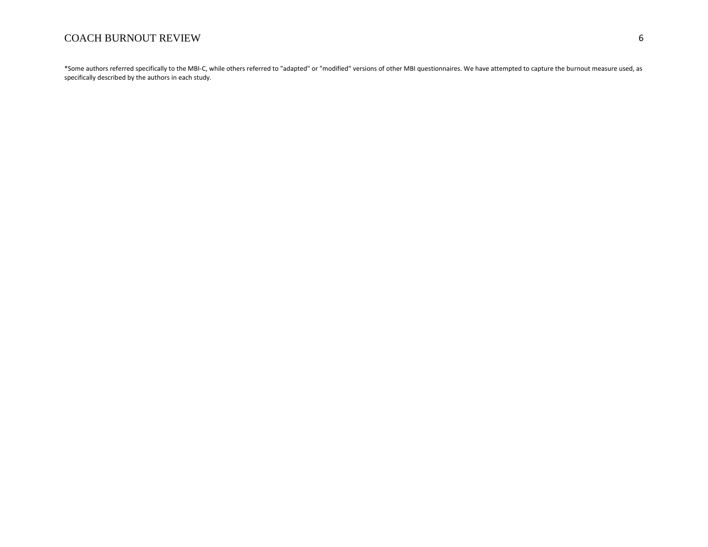\*Some authors referred specifically to the MBI-C, while others referred to "adapted" or "modified" versions of other MBI questionnaires. We have attempted to capture the burnout measure used, as specifically described by the authors in each study.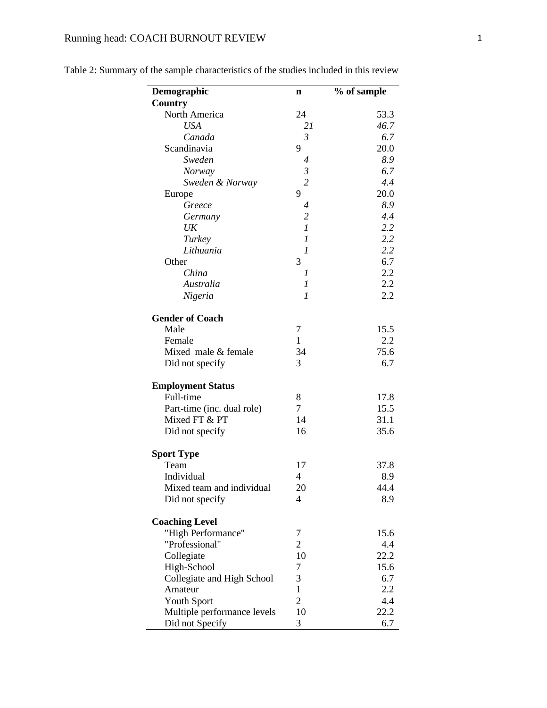# Running head: COACH BURNOUT REVIEW 1

| Demographic                 | n                        | % of sample |
|-----------------------------|--------------------------|-------------|
| Country                     |                          |             |
| North America               | 24                       | 53.3        |
| <b>USA</b>                  | 21                       | 46.7        |
| Canada                      | $\mathfrak{Z}$           | 6.7         |
| Scandinavia                 | 9                        | 20.0        |
| Sweden                      | 4                        | 8.9         |
| <b>Norway</b>               | $\mathfrak{Z}$           | 6.7         |
| Sweden & Norway             | $\overline{c}$           | 4.4         |
| Europe                      | 9                        | 20.0        |
| Greece                      |                          | 8.9         |
|                             | 4<br>$\overline{2}$      | 4.4         |
| Germany                     | $\mathfrak{1}$           | 2.2         |
| UK                          |                          | 2.2         |
| Turkey                      | 1                        |             |
| Lithuania                   | 1                        | 2.2         |
| Other                       | 3                        | 6.7         |
| China                       | 1                        | 2.2         |
| Australia                   | 1                        | 2.2         |
| Nigeria                     | 1                        | 2.2         |
| <b>Gender of Coach</b>      |                          |             |
| Male                        | 7                        | 15.5        |
| Female                      | 1                        | 2.2         |
| Mixed male & female         | 34                       | 75.6        |
| Did not specify             | 3                        | 6.7         |
| <b>Employment Status</b>    |                          |             |
| Full-time                   | 8                        | 17.8        |
| Part-time (inc. dual role)  | $\overline{7}$           | 15.5        |
| Mixed FT & PT               | 14                       | 31.1        |
| Did not specify             | 16                       | 35.6        |
| <b>Sport Type</b>           |                          |             |
| Team                        | 17                       | 37.8        |
| Individual                  | $\overline{4}$           | 8.9         |
| Mixed team and individual   | 20                       | 44.4        |
| Did not specify             | $\overline{\mathcal{A}}$ | 8.9         |
|                             |                          |             |
| <b>Coaching Level</b>       |                          |             |
| "High Performance"          | 7                        | 15.6        |
| "Professional"              | $\overline{2}$           | 4.4         |
| Collegiate                  | 10                       | 22.2        |
| High-School                 | 7                        | 15.6        |
| Collegiate and High School  | 3                        | 6.7         |
| Amateur                     | $\mathbf{1}$             | 2.2         |
| <b>Youth Sport</b>          | $\overline{2}$           | 4.4         |
| Multiple performance levels | 10                       | 22.2        |
| Did not Specify             | 3                        | 6.7         |

Table 2: Summary of the sample characteristics of the studies included in this review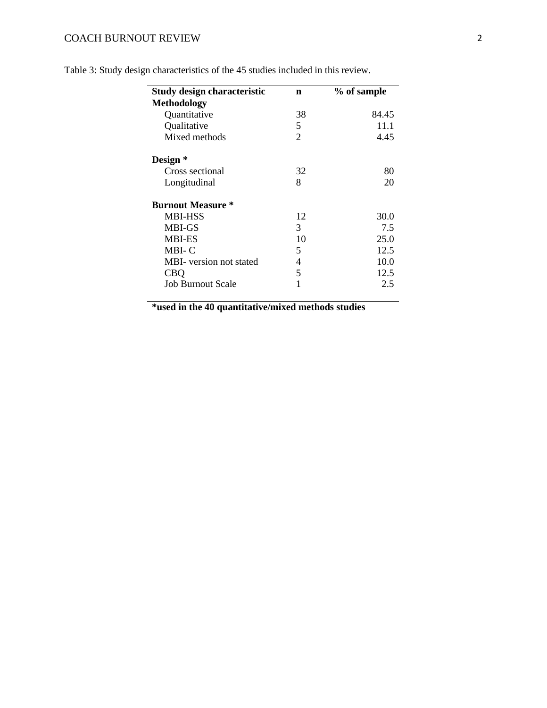| Study design characteristic | n  | % of sample |
|-----------------------------|----|-------------|
| <b>Methodology</b>          |    |             |
| Quantitative                | 38 | 84.45       |
| Qualitative                 | 5  | 11.1        |
| Mixed methods               | 2  | 4.45        |
| Design *                    |    |             |
| Cross sectional             | 32 | 80          |
| Longitudinal                | 8  | 20          |
| <b>Burnout Measure *</b>    |    |             |
| <b>MBI-HSS</b>              | 12 | 30.0        |
| <b>MBI-GS</b>               | 3  | 7.5         |
| <b>MBI-ES</b>               | 10 | 25.0        |
| MBI-C                       | 5  | 12.5        |
| MBI- version not stated     | 4  | 10.0        |
| <b>CBQ</b>                  | 5  | 12.5        |
| <b>Job Burnout Scale</b>    | 1  | 2.5         |

Table 3: Study design characteristics of the 45 studies included in this review.

**\*used in the 40 quantitative/mixed methods studies**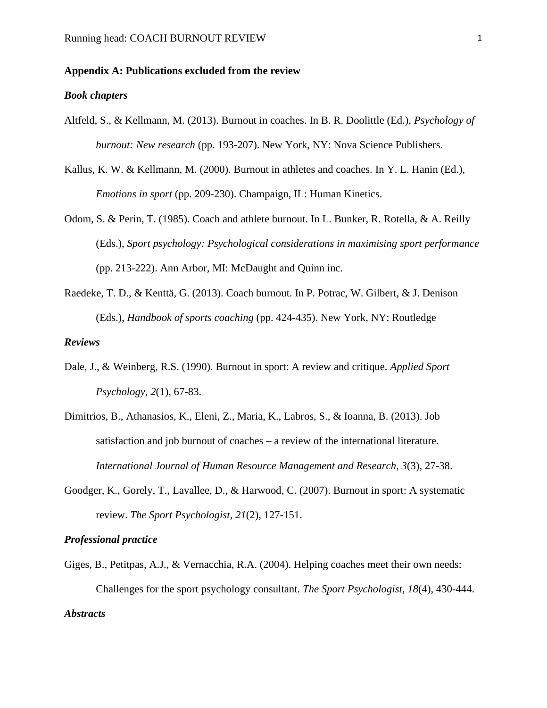#### **Appendix A: Publications excluded from the review**

#### *Book chapters*

- Altfeld, S., & Kellmann, M. (2013). Burnout in coaches. In B. R. Doolittle (Ed.), *Psychology of burnout: New research* (pp. 193-207). New York, NY: Nova Science Publishers.
- Kallus, K. W. & Kellmann, M. (2000). Burnout in athletes and coaches. In Y. L. Hanin (Ed.), *Emotions in sport* (pp. 209-230). Champaign, IL: Human Kinetics.
- Odom, S. & Perin, T. (1985). Coach and athlete burnout. In L. Bunker, R. Rotella, & A. Reilly (Eds.), *Sport psychology: Psychological considerations in maximising sport performance* (pp. 213-222). Ann Arbor, MI: McDaught and Quinn inc.
- Raedeke, T. D., & Kenttä, G. (2013). Coach burnout. In P. Potrac, W. Gilbert, & J. Denison (Eds.), *Handbook of sports coaching* (pp. 424-435). New York, NY: Routledge

### *Reviews*

- Dale, J., & Weinberg, R.S. (1990). Burnout in sport: A review and critique. *Applied Sport Psychology*, *2*(1), 67-83.
- Dimitrios, B., Athanasios, K., Eleni, Z., Maria, K., Labros, S., & Ioanna, B. (2013). Job satisfaction and job burnout of coaches – a review of the international literature. *International Journal of Human Resource Management and Research*, *3*(3), 27-38.
- Goodger, K., Gorely, T., Lavallee, D., & Harwood, C. (2007). Burnout in sport: A systematic review. *The Sport Psychologist*, *21*(2), 127-151.

#### *Professional practice*

Giges, B., Petitpas, A.J., & Vernacchia, R.A. (2004). Helping coaches meet their own needs: Challenges for the sport psychology consultant. *The Sport Psychologist*, *18*(4), 430-444. *Abstracts*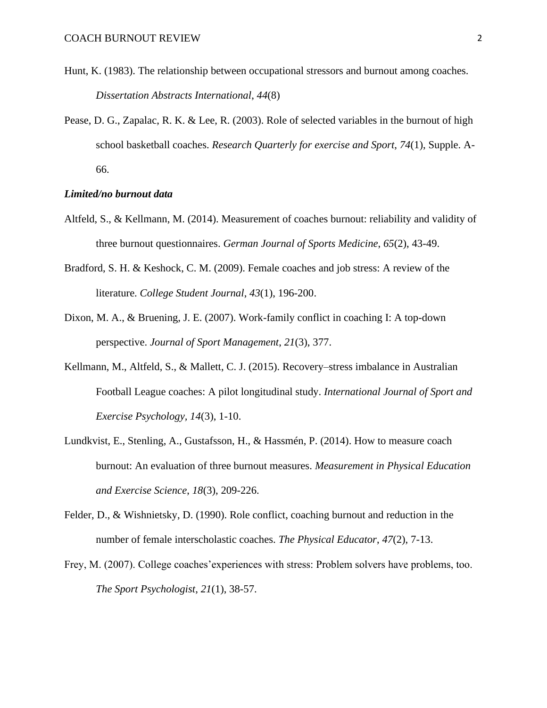- Hunt, K. (1983). The relationship between occupational stressors and burnout among coaches. *Dissertation Abstracts International*, *44*(8)
- Pease, D. G., Zapalac, R. K. & Lee, R. (2003). Role of selected variables in the burnout of high school basketball coaches. *Research Quarterly for exercise and Sport*, *74*(1), Supple. A-66.

#### *Limited/no burnout data*

- Altfeld, S., & Kellmann, M. (2014). Measurement of coaches burnout: reliability and validity of three burnout questionnaires. *German Journal of Sports Medicine*, *65*(2), 43-49.
- Bradford, S. H. & Keshock, C. M. (2009). Female coaches and job stress: A review of the literature. *College Student Journal*, *43*(1), 196-200.
- Dixon, M. A., & Bruening, J. E. (2007). Work-family conflict in coaching I: A top-down perspective. *Journal of Sport Management*, *21*(3), 377.
- Kellmann, M., Altfeld, S., & Mallett, C. J. (2015). Recovery–stress imbalance in Australian Football League coaches: A pilot longitudinal study. *International Journal of Sport and Exercise Psychology, 14*(3), 1-10.
- Lundkvist, E., Stenling, A., Gustafsson, H., & Hassmén, P. (2014). How to measure coach burnout: An evaluation of three burnout measures. *Measurement in Physical Education and Exercise Science*, *18*(3), 209-226.
- Felder, D., & Wishnietsky, D. (1990). Role conflict, coaching burnout and reduction in the number of female interscholastic coaches. *The Physical Educator*, *47*(2), 7-13.
- Frey, M. (2007). College coaches'experiences with stress: Problem solvers have problems, too. *The Sport Psychologist*, *21*(1), 38-57.